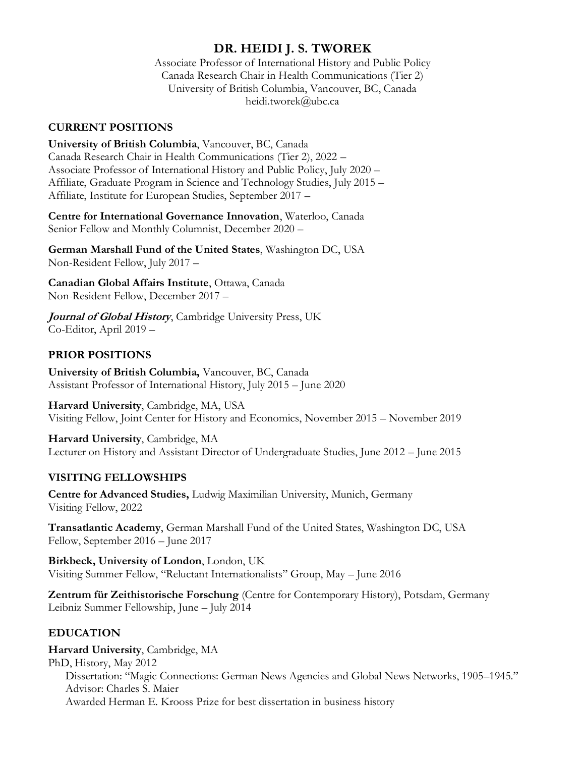# **DR. HEIDI J. S. TWOREK**

Associate Professor of International History and Public Policy Canada Research Chair in Health Communications (Tier 2) University of British Columbia, Vancouver, BC, Canada heidi.tworek@ubc.ca

### **CURRENT POSITIONS**

**University of British Columbia**, Vancouver, BC, Canada Canada Research Chair in Health Communications (Tier 2), 2022 – Associate Professor of International History and Public Policy, July 2020 – Affiliate, Graduate Program in Science and Technology Studies, July 2015 – Affiliate, Institute for European Studies, September 2017 –

**Centre for International Governance Innovation**, Waterloo, Canada Senior Fellow and Monthly Columnist, December 2020 –

**German Marshall Fund of the United States**, Washington DC, USA Non-Resident Fellow, July 2017 –

**Canadian Global Affairs Institute**, Ottawa, Canada Non-Resident Fellow, December 2017 –

**Journal of Global History**, Cambridge University Press, UK Co-Editor, April 2019 –

### **PRIOR POSITIONS**

**University of British Columbia,** Vancouver, BC, Canada Assistant Professor of International History, July 2015 – June 2020

**Harvard University**, Cambridge, MA, USA Visiting Fellow, Joint Center for History and Economics, November 2015 – November 2019

**Harvard University**, Cambridge, MA Lecturer on History and Assistant Director of Undergraduate Studies, June 2012 – June 2015

### **VISITING FELLOWSHIPS**

**Centre for Advanced Studies,** Ludwig Maximilian University, Munich, Germany Visiting Fellow, 2022

**Transatlantic Academy**, German Marshall Fund of the United States, Washington DC, USA Fellow, September 2016 – June 2017

**Birkbeck, University of London**, London, UK Visiting Summer Fellow, "Reluctant Internationalists" Group, May – June 2016

**Zentrum für Zeithistorische Forschung** (Centre for Contemporary History), Potsdam, Germany Leibniz Summer Fellowship, June – July 2014

## **EDUCATION**

**Harvard University**, Cambridge, MA PhD, History, May 2012 Dissertation: "Magic Connections: German News Agencies and Global News Networks, 1905–1945." Advisor: Charles S. Maier Awarded Herman E. Krooss Prize for best dissertation in business history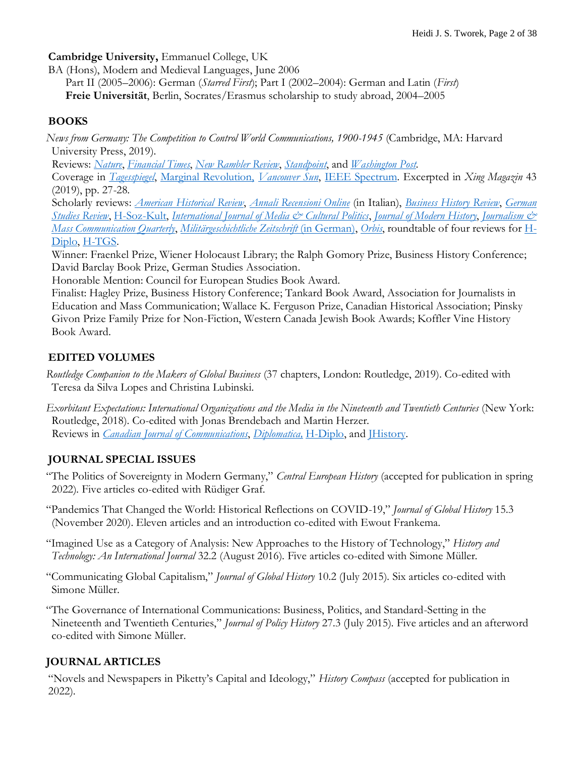**Cambridge University,** Emmanuel College, UK

BA (Hons), Modern and Medieval Languages, June 2006

Part II (2005–2006): German (*Starred First*); Part I (2002–2004): German and Latin (*First*) **Freie Universität**, Berlin, Socrates/Erasmus scholarship to study abroad, 2004–2005

### **BOOKS**

*News from Germany: The Competition to Control World Communications, 1900-1945* (Cambridge, MA: Harvard University Press, 2019).

Reviews: *[Nature](https://www.nature.com/articles/d41586-019-00794-7?platform=hootsuite)*, *[Financial Times](https://www.ft.com/content/663f66b8-86ec-11e9-b861-54ee436f9768)*, *[New Rambler Review](https://newramblerreview.com/book-reviews/history/breaking-news-germany-aims-for-empire)*, *[Standpoint](https://standpointmag.co.uk/issues/july-august-2019/agencies-of-disruption/)*, and *[Washington Post](https://www.washingtonpost.com/outlook/in-germany-how-government-support-for-news-media-turned-into-government-control/2019/04/19/7e8e1f00-50b6-11e9-8d28-f5149e5a2fda_story.html?utm_term=.cb42d44acf61)*.

 Coverage in *[Tagesspiegel](https://www.tagesspiegel.de/gesellschaft/panorama/wann-fake-news-erfolg-haben-die-erstaunlichen-parallelelen-der-hitler-zeit-zu-heute/24187092.html)*, [Marginal Revolution,](https://marginalrevolution.com/marginalrevolution/2019/04/the-competition-to-control-world-communications-1900-1945.html) *[Vancouver Sun](https://vancouversun.com/entertainment/books/author-qa-heidi-tworeks-new-book-shows-information-warfare-has-a-long-history)*, [IEEE Spectrum.](https://spectrum.ieee.org/tech-history/dawn-of-electronics/inside-the-third-reichs-radio) Excerpted in *Xing Magazin* 43 (2019), pp. 27-28.

 Scholarly reviews: *[American Historical Review](https://academic.oup.com/ahr/article-abstract/125/5/1998/6053286)*, *[Annali Recensioni Online](https://aro-isig.fbk.eu/issues/2021/3/news-from-germany-gabriele-balbi/?fbclid=IwAR1chgOUohflIexLAd0S7WYRgKrJLhOYJPcbcL_bOv7txeryCELx-N4vsJw)* (in Italian), *[Business History Review](https://www.cambridge.org/core/journals/business-history-review/article/news-from-germany-the-competition-to-control-world-communications-19001945-byheidi-j-s-tworek-cambridge-ma-harvard-university-press-2019-333-pp-maps-photographs-illustrations-notes-index-cloth-2995-isbn-9780674988408/156213C36E5FB4B54B7733A3B4BCC24B)*, *[German](https://muse.jhu.edu/article/749903)  [Studies](https://muse.jhu.edu/article/749903) Review*, [H-Soz-Kult,](https://www.hsozkult.de/publicationreview/id/reb-28036) *[International Journal of Media & Cultural Politics](https://www.ingentaconnect.com/contentone/intellect/mcp/2020/00000016/00000002/art00008)*, *[Journal of Modern History](https://www.journals.uchicago.edu/doi/abs/10.1086/709947?journalCode=jmh)*, *[Journalism &](https://journals.sagepub.com/stoken/default+domain/PE6V35WERA68EGGVSANX/full)  [Mass Communication Quarterly](https://journals.sagepub.com/stoken/default+domain/PE6V35WERA68EGGVSANX/full)*, *[Militärgeschichtliche Zeitschrift](https://ubc-summon-serialssolutions-com.ezproxy.library.ubc.ca/2.0.0/link/0/eLvHCXMwtZ1bb9MwFIADgxcQQlyGGDedl46hXJbYSZugDakbt03iIlpeQKjynGRUrC1qO03laX9h4ifwT_gp-yWcYztJU0ACJF6S1IlTtzmffeyci2Vx5vnuQp8g6f1PIELGZIBjnC9TiX1nuJcjjHHEZN1UZ-mgcI2pCv_rk8cyfPbkSfsXT7-8KRbgMcoAblEKcPtHckCBrPr2rmd3PLt7NBpnOukO9m3ateQZdc3DmWfrDHakRSsrLlJKt40du7a4qfmSTGwc4_3CVAIJCyNtP2JcwNRCa1vN-nXCEN62izxEi96JNqoHiTK43dmhHeecWou6b4M_LmvNBTQxxo90LbaiwVTlxjZrtLnNAi-J7Ea0tdPZemnj7LVoY1C2llwiyuMkxsln-SkuEq4XSa5UEHPyUJ1Q0piP0wMynbXfZf0pFoz7eeU-PqJXADoiw5uMXCrnF1SYsgXwo8oqBukcH84oROWrA-z7aXF5v-qVsYfnLuPcxO8uypouyrE_P6zoHDk1fPQYEegcNUbdCHQen59GskgF_Rjsf5m4upG-9nGthwxfGMpLA0ua2uEdelS_R_XJdrHVSsjNeJWCyg_SvpxuZkP3bWfJOs-w7TSqhex1uUCJmnHEVObS8ieboKd44_V6w2pK3eUjZeiRZvv6b0TVJjL6WveKdZF8eEC_-Lpqnc2G16xlLUAzWAUKtyxUSuvZ9TNrGwMx_vRIcbKxro5h14OOB_qEhsaccUwh8VNcTBiZYgOTOeMBMgVzTMF0BIYpUExBnSkgpk6PvxJNDpQsOfCi7YDm6CEYHqCiCBRFQBQ5gAw5gATRD1jbLK-u6AFDj0Pf9sCB799AMQPviRhAYk6PT7AVJ0gJbhUfuI8_LFvdp0-6289dkz_FlQkL3Fy2gkQ2o0AIlgShSKIMn3OchK3QFzFPo0hwiTpy7EsZZgLncWksAiZzP03Sloz5DeuSIDeb4VS546Y3LWBsDyd8PEx8ifOoWIpcBqg0NEXeykVTxivW_UIQep91uJzer2VxxYoW5KRnes3Jb2po6b31j_VuWxcq2O9Y56bjw-yuCrVyT8n9D1vvDpY)* (in German), *[Orbis](https://www.sciencedirect.com/science/article/pii/S0030438719300948)*, roundtable of four reviews for [H-](https://urldefense.proofpoint.com/v2/url?u=https-3A__hdiplo.org_to_RT21-2D28&d=DwMGaQ&c=Oo8bPJf7k7r_cPTz1JF7vEiFxvFRfQtp-j14fFwh71U&r=CSkEghx0mdFa7cMTO6lwc-h1Tbz19W6jrVwzQ0ByA14&m=eLykRD50ma884sD9BYrjuFnFAMnBAjCHUCl95TfItP0&s=YMdDSKyYJ3lAzL-idbbCmvKRKLKgPWBr4j_V33Lu6gs&e=)[Diplo,](https://urldefense.proofpoint.com/v2/url?u=https-3A__hdiplo.org_to_RT21-2D28&d=DwMGaQ&c=Oo8bPJf7k7r_cPTz1JF7vEiFxvFRfQtp-j14fFwh71U&r=CSkEghx0mdFa7cMTO6lwc-h1Tbz19W6jrVwzQ0ByA14&m=eLykRD50ma884sD9BYrjuFnFAMnBAjCHUCl95TfItP0&s=YMdDSKyYJ3lAzL-idbbCmvKRKLKgPWBr4j_V33Lu6gs&e=) [H-TGS.](https://www.h-net.org/reviews/showrev.php?id=54642)

Winner: Fraenkel Prize, Wiener Holocaust Library; the Ralph Gomory Prize, Business History Conference; David Barclay Book Prize, German Studies Association.

Honorable Mention: Council for European Studies Book Award.

Finalist: Hagley Prize, Business History Conference; Tankard Book Award, Association for Journalists in Education and Mass Communication; Wallace K. Ferguson Prize, Canadian Historical Association; Pinsky Givon Prize Family Prize for Non-Fiction, Western Canada Jewish Book Awards; Koffler Vine History Book Award.

## **EDITED VOLUMES**

*Routledge Companion to the Makers of Global Business* (37 chapters, London: Routledge, 2019). Co-edited with Teresa da Silva Lopes and Christina Lubinski.

*Exorbitant Expectations: International Organizations and the Media in the Nineteenth and Twentieth Centuries* (New York: Routledge, 2018). Co-edited with Jonas Brendebach and Martin Herzer. Reviews in *[Canadian Journal of Communications](https://www.cjc-online.ca/index.php/journal/article/view/3775/4019)*, *[Diplomatica,](https://brill.com/view/journals/dipl/1/1/article-p136_136.xml?lang=en)* [H-Diplo,](https://networks.h-net.org/node/28443/reviews/3161535/stamm-brendebach-and-herzer-and-tworek-international-organizations) and [JHistory.](https://networks.h-net.org/node/14542/reviews/6115187/ackerley-brendebach-and-herzer-and-tworek-international-organizations)

## **JOURNAL SPECIAL ISSUES**

"The Politics of Sovereignty in Modern Germany," *Central European History* (accepted for publication in spring 2022)*.* Five articles co-edited with Rüdiger Graf.

"Pandemics That Changed the World: Historical Reflections on COVID-19," *Journal of Global History* 15.3 (November 2020). Eleven articles and an introduction co-edited with Ewout Frankema.

"Imagined Use as a Category of Analysis: New Approaches to the History of Technology," *History and Technology: An International Journal* 32.2 (August 2016). Five articles co-edited with Simone Müller.

"Communicating Global Capitalism," *Journal of Global History* 10.2 (July 2015). Six articles co-edited with Simone Müller.

"The Governance of International Communications: Business, Politics, and Standard-Setting in the Nineteenth and Twentieth Centuries," *Journal of Policy History* 27.3 (July 2015). Five articles and an afterword co-edited with Simone Müller.

## **JOURNAL ARTICLES**

"Novels and Newspapers in Piketty's Capital and Ideology," *History Compass* (accepted for publication in 2022).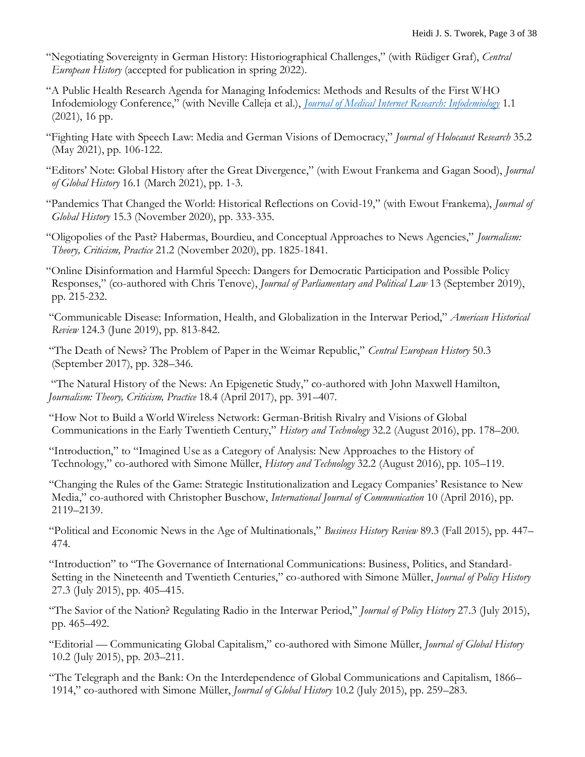- "Negotiating Sovereignty in German History: Historiographical Challenges," (with Rüdiger Graf), *Central European History* (accepted for publication in spring 2022).
- "A Public Health Research Agenda for Managing Infodemics: Methods and Results of the First WHO Infodemiology Conference," (with Neville Calleja et al.), *[Journal of Medical Internet Research: Infodemiology](https://infodemiology.jmir.org/2021/1/e30979)* 1.1 (2021), 16 pp.
- "Fighting Hate with Speech Law: Media and German Visions of Democracy," *Journal of Holocaust Research* 35.2 (May 2021), pp. 106-122.
- "Editors' Note: Global History after the Great Divergence," (with Ewout Frankema and Gagan Sood), *Journal of Global History* 16.1 (March 2021), pp. 1-3.
- "Pandemics That Changed the World: Historical Reflections on Covid-19," (with Ewout Frankema), *Journal of Global History* 15.3 (November 2020), pp. 333-335.
- "Oligopolies of the Past? Habermas, Bourdieu, and Conceptual Approaches to News Agencies," *Journalism: Theory, Criticism, Practice* 21.2 (November 2020), pp. 1825-1841.
- "Online Disinformation and Harmful Speech: Dangers for Democratic Participation and Possible Policy Responses," (co-authored with Chris Tenove), *Journal of Parliamentary and Political Law* 13 (September 2019), pp. 215-232.
- "Communicable Disease: Information, Health, and Globalization in the Interwar Period," *American Historical Review* 124.3 (June 2019), pp. 813-842.
- "The Death of News? The Problem of Paper in the Weimar Republic," *Central European History* 50.3 (September 2017), pp. 328–346.
- "The Natural History of the News: An Epigenetic Study," co-authored with John Maxwell Hamilton, *Journalism: Theory, Criticism, Practice* 18.4 (April 2017), pp. 391–407*.*
- "How Not to Build a World Wireless Network: German-British Rivalry and Visions of Global Communications in the Early Twentieth Century," *History and Technology* 32.2 (August 2016), pp. 178–200.
- "Introduction," to "Imagined Use as a Category of Analysis: New Approaches to the History of Technology," co-authored with Simone Müller, *History and Technology* 32.2 (August 2016), pp. 105–119.
- "Changing the Rules of the Game: Strategic Institutionalization and Legacy Companies' Resistance to New Media," co-authored with Christopher Buschow, *International Journal of Communication* 10 (April 2016), pp. 2119–2139.
- "Political and Economic News in the Age of Multinationals," *Business History Review* 89.3 (Fall 2015), pp. 447– 474.
- "Introduction" to "The Governance of International Communications: Business, Politics, and Standard-Setting in the Nineteenth and Twentieth Centuries," co-authored with Simone Müller, *Journal of Policy History* 27.3 (July 2015), pp. 405–415.
- "The Savior of the Nation? Regulating Radio in the Interwar Period," *Journal of Policy History* 27.3 (July 2015), pp. 465–492.
- "Editorial Communicating Global Capitalism," co-authored with Simone Müller, *Journal of Global History* 10.2 (July 2015), pp. 203–211.
- "The Telegraph and the Bank: On the Interdependence of Global Communications and Capitalism, 1866– 1914," co-authored with Simone Müller, *Journal of Global History* 10.2 (July 2015), pp. 259–283.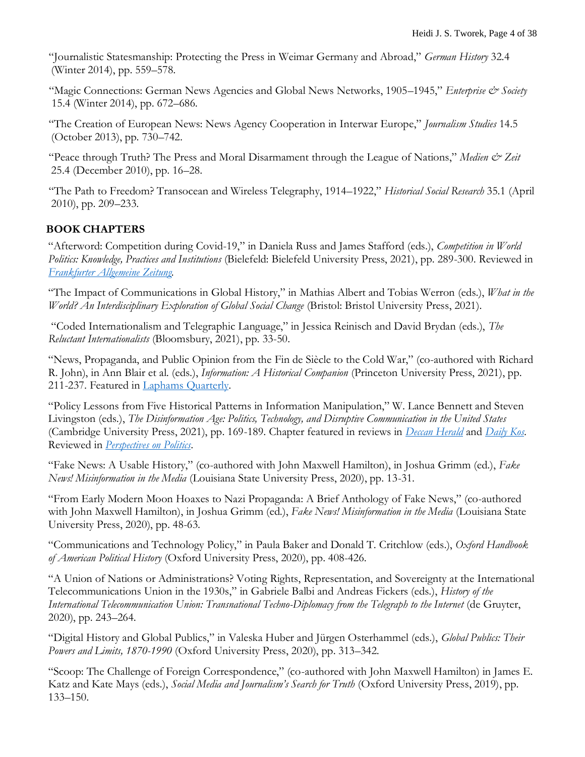"Journalistic Statesmanship: Protecting the Press in Weimar Germany and Abroad," *German History* 32.4 (Winter 2014), pp. 559–578.

"Magic Connections: German News Agencies and Global News Networks, 1905–1945," *Enterprise & Society* 15.4 (Winter 2014), pp. 672–686.

"The Creation of European News: News Agency Cooperation in Interwar Europe," *Journalism Studies* 14.5 (October 2013), pp. 730–742.

"Peace through Truth? The Press and Moral Disarmament through the League of Nations," *Medien & Zeit* 25.4 (December 2010), pp. 16–28.

"The Path to Freedom? Transocean and Wireless Telegraphy, 1914–1922," *Historical Social Research* 35.1 (April 2010), pp. 209–233.

## **BOOK CHAPTERS**

"Afterword: Competition during Covid-19," in Daniela Russ and James Stafford (eds.), *Competition in World Politics: Knowledge, Practices and Institutions* (Bielefeld: Bielefeld University Press, 2021), pp. 289-300. Reviewed in *[Frankfurter Allgemeine](https://www.faz.net/-gqc-ag2vf) Zeitung.* 

"The Impact of Communications in Global History," in Mathias Albert and Tobias Werron (eds.), *What in the World? An Interdisciplinary Exploration of Global Social Change* (Bristol: Bristol University Press, 2021).

"Coded Internationalism and Telegraphic Language," in Jessica Reinisch and David Brydan (eds.), *The Reluctant Internationalists* (Bloomsbury, 2021), pp. 33-50.

"News, Propaganda, and Public Opinion from the Fin de Siècle to the Cold War," (co-authored with Richard R. John), in Ann Blair et al. (eds.), *Information: A Historical Companion* (Princeton University Press, 2021), pp. 211-237. Featured in [Laphams Quarterly.](https://www.laphamsquarterly.org/roundtable/multitude-books)

"Policy Lessons from Five Historical Patterns in Information Manipulation," W. Lance Bennett and Steven Livingston (eds.), *The Disinformation Age: Politics, Technology, and Disruptive Communication in the United States*  (Cambridge University Press, 2021), pp. 169-189. Chapter featured in reviews in *[Deccan Herald](https://www.deccanherald.com/opinion/the-wrong-way-to-regulate-disinformation-920089.html)* and *[Daily Kos](https://m.dailykos.com/stories/2020/11/24/1997961/-New-Book-Explores-Current-History-Of-The-Disinformation-Age-We-Inhabit)*. Reviewed in *[Perspectives on Politics](https://urldefense.proofpoint.com/v2/url?u=https-3A__www.cambridge.org_core_journals_perspectives-2Don-2Dpolitics_article_the-2Ddisinformation-2Dage-2Dpolitics-2Dtechnology-2Dand-2Ddisruptive-2Dcommunication-2Din-2Dthe-2Dunited-2Dstates-2Dedited-2Dby-2Dw-2Dlance-2Dbennett-2Dand-2Dsteven-2Dlivingston-2Dnew-2Dyork-2Dcambridge-2Duniversity-2Dpress-2D2020-2D323p-2D9999-2Dcloth-2D2999-2Dpaper_522C0E4210F2E8B652E324B59D0DFA49&d=DwMGaQ&c=WO-RGvefibhHBZq3fL85hQ&r=EHV6czxW2CcCPWk-0sWjiWkVtrWFqcmcFj3v6i1H2dA&m=Eagwr0NJMO-vGlUfQ-Fy2STJbbnSYKCq9NnPM3tHxlH2WLJvZGVO7vQBzR0L6FY-&s=W2k3VsU1QecCrYBh9DCzEPKemP__l4F78OPuMC5rlsE&e=)*.

"Fake News: A Usable History," (co-authored with John Maxwell Hamilton), in Joshua Grimm (ed.), *Fake News! Misinformation in the Media* (Louisiana State University Press, 2020), pp. 13-31.

"From Early Modern Moon Hoaxes to Nazi Propaganda: A Brief Anthology of Fake News," (co-authored with John Maxwell Hamilton), in Joshua Grimm (ed.), *Fake News! Misinformation in the Media* (Louisiana State University Press, 2020), pp. 48-63.

"Communications and Technology Policy," in Paula Baker and Donald T. Critchlow (eds.), *Oxford Handbook of American Political History* (Oxford University Press, 2020), pp. 408-426.

"A Union of Nations or Administrations? Voting Rights, Representation, and Sovereignty at the International Telecommunications Union in the 1930s," in Gabriele Balbi and Andreas Fickers (eds.), *History of the International Telecommunication Union: Transnational Techno-Diplomacy from the Telegraph to the Internet* (de Gruyter, 2020), pp. 243–264.

"Digital History and Global Publics," in Valeska Huber and Jürgen Osterhammel (eds.), *Global Publics: Their Powers and Limits, 1870-1990* (Oxford University Press, 2020), pp. 313–342.

"Scoop: The Challenge of Foreign Correspondence," (co-authored with John Maxwell Hamilton) in James E. Katz and Kate Mays (eds.), *Social Media and Journalism's Search for Truth* (Oxford University Press, 2019), pp. 133–150.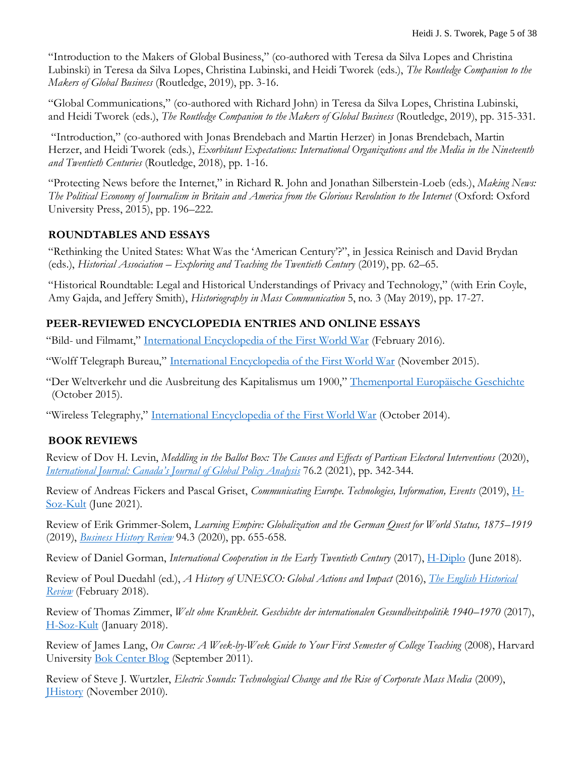"Introduction to the Makers of Global Business," (co-authored with Teresa da Silva Lopes and Christina Lubinski) in Teresa da Silva Lopes, Christina Lubinski, and Heidi Tworek (eds.), *The Routledge Companion to the Makers of Global Business* (Routledge, 2019), pp. 3-16.

"Global Communications," (co-authored with Richard John) in Teresa da Silva Lopes, Christina Lubinski, and Heidi Tworek (eds.), *The Routledge Companion to the Makers of Global Business* (Routledge, 2019), pp. 315-331.

"Introduction," (co-authored with Jonas Brendebach and Martin Herzer) in Jonas Brendebach, Martin Herzer, and Heidi Tworek (eds.), *Exorbitant Expectations: International Organizations and the Media in the Nineteenth and Twentieth Centuries* (Routledge, 2018), pp. 1-16.

"Protecting News before the Internet," in Richard R. John and Jonathan Silberstein-Loeb (eds.), *Making News: The Political Economy of Journalism in Britain and America from the Glorious Revolution to the Internet* (Oxford: Oxford University Press, 2015), pp. 196–222.

### **ROUNDTABLES AND ESSAYS**

"Rethinking the United States: What Was the 'American Century'?", in Jessica Reinisch and David Brydan (eds.), *Historical Association – Exploring and Teaching the Twentieth Century* (2019), pp. 62–65.

"Historical Roundtable: Legal and Historical Understandings of Privacy and Technology," (with Erin Coyle, Amy Gajda, and Jeffery Smith), *Historiography in Mass Communication* 5, no. 3 (May 2019), pp. 17-27.

### **PEER-REVIEWED ENCYCLOPEDIA ENTRIES AND ONLINE ESSAYS**

"Bild- und Filmamt," [International Encyclopedia of the First World War](http://encyclopedia.1914-1918-online.net/article/bild-_und_filmamt_bufa) (February 2016).

"Wolff Telegraph Bureau," [International Encyclopedia of the First World War](http://encyclopedia.1914-1918-online.net/article/wolff_telegraph_bureau) (November 2015).

"Der Weltverkehr und die Ausbreitung des Kapitalismus um 1900," [Themenportal Europäische Geschichte](http://www.europa.clio-online.de/2015/Article=737) (October 2015).

"Wireless Telegraphy," [International Encyclopedia of the First World War](http://encyclopedia.1914-1918-online.net/article/Wireless_Telegraphy) (October 2014).

## **BOOK REVIEWS**

Review of Dov H. Levin, *Meddling in the Ballot Box: The Causes and Effects of Partisan Electoral Interventions* (2020), *International Journal[: Canada's Journal of Global Policy Analysis](https://journals.sagepub.com/eprint/AXPRPPA9MQNVCYCBRDMQ/full)* 76.2 (2021), pp. 342-344.

Review of Andreas Fickers and Pascal Griset, *Communicating Europe. Technologies, Information, Events* (2019), [H-](https://meinclio.clio-online.de/open/pdf/publicationreview/reb-28959/)[Soz-Kult](https://meinclio.clio-online.de/open/pdf/publicationreview/reb-28959/) (June 2021).

Review of Erik Grimmer-Solem, *Learning Empire: Globalization and the German Quest for World Status, 1875–1919* (2019), *[Business History Review](https://www.cambridge.org/core/journals/business-history-review/article/abs/learning-empire-globalization-and-the-german-quest-for-world-status-18751919-by-erik-grimmersolem-cambridge-uk-cambridge-university-press-2019-xiv-654-pp-maps-photographs-figures-bibliography-index-cloth-4499-isbn-9781108483827/9E3BB66364E48C7648A8D3BE357EBDF7)* 94.3 (2020), pp. 655-658.

Review of Daniel Gorman, *International Cooperation in the Early Twentieth Century* (2017), [H-Diplo](https://www.h-net.org/reviews/showpdf.php?id=51500) (June 2018).

Review of Poul Duedahl (ed.), *A History of UNESCO: Global Actions and Impact* (2016), *[The English Historical](https://doi.org/10.1093/ehr/cey054)  [Review](https://doi.org/10.1093/ehr/cey054)* (February 2018).

Review of Thomas Zimmer, *Welt ohne Krankheit. Geschichte der internationalen Gesundheitspolitik 1940–1970* (2017), [H-Soz-Kult](http://www.hsozkult.de/publicationreview/id/rezbuecher-27273) (January 2018).

Review of James Lang, *On Course: A Week-by-Week Guide to Your First Semester of College Teaching (2008)*, Harvard University [Bok Center Blog](https://bokcenter.wordpress.com/2011/09/28/on-course-a-review/) (September 2011).

Review of Steve J. Wurtzler, *Electric Sounds: Technological Change and the Rise of Corporate Mass Media* (2009), [JHistory](https://www.h-net.org/reviews/showrev.php?id=31101) (November 2010).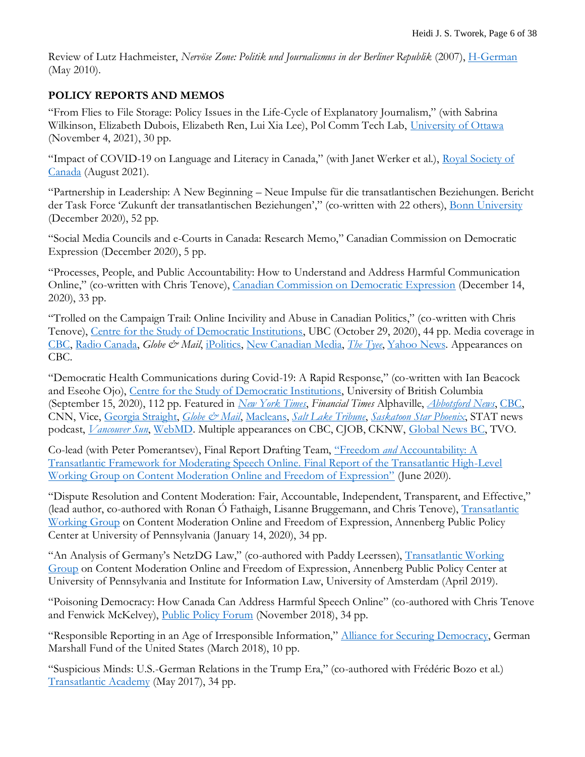Review of Lutz Hachmeister, *Nervöse Zone: Politik und Journalismus in der Berliner Republik* (2007), [H-German](http://h-net.msu.edu/cgi-bin/logbrowse.pl?trx=vx&list=h-german&month=1005&week=a&msg=xUWK2zCf3zk8JX77teTg0g&user=&pw=) (May 2010).

### **POLICY REPORTS AND MEMOS**

"From Flies to File Storage: Policy Issues in the Life-Cycle of Explanatory Journalism," (with Sabrina Wilkinson, Elizabeth Dubois, Elizabeth Ren, Lui Xia Lee), Pol Comm Tech Lab, [University of Ottawa](https://www.polcommtech.com/explanatoryjourno-report) (November 4, 2021), 30 pp.

"Impact of COVID-19 on Language and Literacy in Canada," (with Janet Werker et al.), [Royal Society of](https://rsc-src.ca/en/covid-19-policy-briefing-recent/impact-covid-19-language-and-literacy-in-canada)  [Canada](https://rsc-src.ca/en/covid-19-policy-briefing-recent/impact-covid-19-language-and-literacy-in-canada) (August 2021).

"Partnership in Leadership: A New Beginning – Neue Impulse für die transatlantischen Beziehungen. Bericht der Task Force 'Zukunft der transatlantischen Beziehungen'," (co-written with 22 others), [Bonn University](https://abdn.pure.elsevier.com/en/publications/partnership-in-leadership-a-new-beginning-new-impulses-for-transa) (December 2020), 52 pp.

"Social Media Councils and e-Courts in Canada: Research Memo," Canadian Commission on Democratic Expression (December 2020), 5 pp.

"Processes, People, and Public Accountability: How to Understand and Address Harmful Communication Online," (co-written with Chris Tenove), [Canadian Commission on Democratic Expression](https://www.mediatechdemocracy.com/work/processes-people-and-public-accountability-how-to-understand-and-address-harmful-communication-online) (December 14, 2020), 33 pp.

"Trolled on the Campaign Trail: Online Incivility and Abuse in Canadian Politics," (co-written with Chris Tenove), [Centre for the Study of Democratic Institutions,](https://democracy.arts.ubc.ca/2020/10/27/campaign-trail/) UBC (October 29, 2020), 44 pp. Media coverage in [CBC,](https://www.google.com/url?rct=j&sa=t&url=https://www.cbc.ca/news/canada/british-columbia/ubc-report-online-abuse-politicians-1.5782975&ct=ga&cd=CAEYACoTNzU5Mzc4Nzc5ODA3NTAzODU1OTIaMGJmOWExMTYwM2ZkNTk3Njpjb206ZW46VVM&usg=AFQjCNF2At2iMyNuM6jb_0ZlK3aKdROpDA) [Radio Canada,](https://ici.radio-canada.ca/nouvelle/1746220/ubc-etude-haine-twitter-tweet-candidats-elections-federales-2019) *Globe & Mail*, [iPolitics,](https://ipolitics.ca/2021/02/11/mps-say-hate-speech-is-constraining-public-discourse/) [New Canadian Media,](https://newcanadianmedia.ca/online-harm-and-its-impact-on-democracy-politics/) *[The Tyee](https://thetyee.ca/News/2020/10/29/BC-Legislature-Whiter-Than-Province/)*, [Yahoo News.](https://ca.news.yahoo.com/trolled-office-ubc-report-examines-160000743.html) Appearances on CBC.

"Democratic Health Communications during Covid-19: A Rapid Response," (co-written with Ian Beacock and Eseohe Ojo), [Centre for the Study of Democratic Institutions,](https://democracy2017.sites.olt.ubc.ca/files/2020/09/Democratic-Health-Communications-Report-Sept-2020.pdf) University of British Columbia (September 15, 2020), 112 pp. Featured in *[New York Times](https://www.google.com/url?rct=j&sa=t&url=https://www.nytimes.com/2020/10/16/opinion/shame-masks-coronavirus-covid.html&ct=ga&cd=CAEYACoUMTc4ODM3OTQwNTUzMTA1MDgwNjkyGjBiZjlhMTE2MDNmZDU5NzY6Y29tOmVuOlVT&usg=AFQjCNFwXB-jhceNodZoSwURD9rmVKtZmw)*, *Financial Times* Alphaville, *[Abbotsford News](https://www.abbynews.com/news/respond-with-empathy-b-c-expert-breaks-down-covid-vaccine-myths-reasons-for-hesitancy/)*, [CBC,](https://www.cbc.ca/radio/thecurrent/the-current-for-dec-2-2020-1.5824817/pandemic-decision-making-requires-politics-and-science-work-hand-in-glove-expert-1.5825602) CNN, Vice, [Georgia Straight,](https://www.straight.com/covid-19-pandemic/september-22-coronavirus-update-bc-eight-schools-with-cases-active-cases-decreases-and-dr-bonnie-henry-targeted) *[Globe & Mail](https://www.theglobeandmail.com/canada/article-inside-the-communications-battle-to-reach-pandemic-weary-canadians/)*, [Macleans,](https://www.macleans.ca/society/the-pandemic-has-proven-that-the-individual-is-not-supreme/) *[Salt Lake Tribune](https://www.sltrib.com/news/2020/12/21/robert-gehrke-we-need-get/)*, *[Saskatoon Star Phoenix](https://thestarphoenix.com/news/saskatchewan/facebook-warriors-a-pandemic-of-hoaxes-undermining-efforts-to-stop-covid-19)*, STAT news podcast, *[Vancouver Sun](https://vancouversun.com/news/covid-19-is-a-dress-rehearsal-for-next-pandemic)*, [WebMD.](https://www.webmd.com/lung/news/20201109/us-tops-10-million-cases-amid-covid-surge) Multiple appearances on CBC, CJOB, CKNW, [Global News BC,](https://globalnews.ca/video/7347173/comparing-bcs-covid-19-communications-strategy) TVO.

Co-lead (with Peter Pomerantsev), Final Report Drafting Team, "Freedom *and* [Accountability: A](https://www.ivir.nl/publicaties/download/Freedom_and_Accountability_TWG_Final_Report.pdf)  [Transatlantic Framework for Moderating Speech Online. Final Report of the Transatlantic High-Level](https://www.ivir.nl/publicaties/download/Freedom_and_Accountability_TWG_Final_Report.pdf)  [Working Group on Content Moderation Online and Freedom of Expression"](https://www.ivir.nl/publicaties/download/Freedom_and_Accountability_TWG_Final_Report.pdf) (June 2020).

"Dispute Resolution and Content Moderation: Fair, Accountable, Independent, Transparent, and Effective," (lead author, co-authored with Ronan Ó Fathaigh, Lisanne Bruggemann, and Chris Tenove), Transatlantic [Working Group](https://www.ivir.nl/publicaties/download/Dispute_Resolution_Content_Moderation.pdf) on Content Moderation Online and Freedom of Expression, Annenberg Public Policy Center at University of Pennsylvania (January 14, 2020), 34 pp.

"An Analysis of Germany's NetzDG Law," (co-authored with Paddy Leerssen), [Transatlantic Working](https://www.ivir.nl/publicaties/download/NetzDG_Tworek_Leerssen_April_2019.pdf)  [Group](https://www.ivir.nl/publicaties/download/NetzDG_Tworek_Leerssen_April_2019.pdf) on Content Moderation Online and Freedom of Expression, Annenberg Public Policy Center at University of Pennsylvania and Institute for Information Law, University of Amsterdam (April 2019).

"Poisoning Democracy: How Canada Can Address Harmful Speech Online" (co-authored with Chris Tenove and Fenwick McKelvey), [Public Policy Forum](https://www.ppforum.ca/publications/poisoning-democracy-what-can-be-done-about-harmful-speech-online/) (November 2018), 34 pp.

"Responsible Reporting in an Age of Irresponsible Information," [Alliance for Securing Democracy,](http://securingdemocracy.gmfus.org/publications/responsible-reporting-age-irresponsible-information) German Marshall Fund of the United States (March 2018), 10 pp.

"Suspicious Minds: U.S.-German Relations in the Trump Era," (co-authored with Frédéric Bozo et al.) [Transatlantic Academy](http://www.transatlanticacademy.org/publications/suspicious-minds-us-german-relations-in-the-trump-era) (May 2017), 34 pp.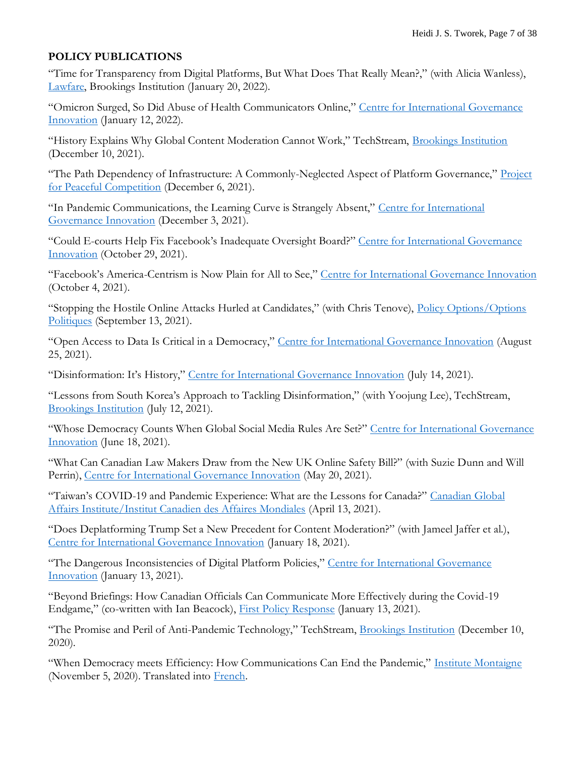#### **POLICY PUBLICATIONS**

"Time for Transparency from Digital Platforms, But What Does That Really Mean?," (with Alicia Wanless), [Lawfare,](https://www.lawfareblog.com/time-transparency-digital-platforms-what-does-really-mean) Brookings Institution (January 20, 2022).

"Omicron Surged, So Did Abuse of Health Communicators Online," [Centre for International Governance](https://www.cigionline.org/articles/as-omicron-surged-so-did-abuse-of-health-communicators-online/)  [Innovation](https://www.cigionline.org/articles/as-omicron-surged-so-did-abuse-of-health-communicators-online/) (January 12, 2022).

"History Explains Why Global Content Moderation Cannot Work," TechStream, [Brookings Institution](https://www.brookings.edu/techstream/history-explains-why-global-content-moderation-cannot-work/) (December 10, 2021).

"The Path Dependency of Infrastructure: A Commonly-Neglected Aspect of Platform Governance," [Project](https://www.peaceful-competition.org/pub/naf44s52/release/1?readingCollection=52d7085e)  [for Peaceful Competition](https://www.peaceful-competition.org/pub/naf44s52/release/1?readingCollection=52d7085e) (December 6, 2021).

"In Pandemic Communications, the Learning Curve is Strangely Absent," [Centre for International](https://www.cigionline.org/articles/in-pandemic-communications-the-learning-curve-is-strangely-absent/)  [Governance Innovation](https://www.cigionline.org/articles/in-pandemic-communications-the-learning-curve-is-strangely-absent/) (December 3, 2021).

"Could E-courts Help Fix Facebook's Inadequate Oversight Board?" [Centre for International Governance](https://www.cigionline.org/articles/could-e-courts-help-fix-facebooks-inadequate-oversight-board/?utm_source=twitter&utm_medium=social&utm_campaign=oversight-board)  [Innovation](https://www.cigionline.org/articles/could-e-courts-help-fix-facebooks-inadequate-oversight-board/?utm_source=twitter&utm_medium=social&utm_campaign=oversight-board) (October 29, 2021).

"Facebook's America-Centrism is Now Plain for All to See," [Centre for International Governance Innovation](https://www.cigionline.org/articles/facebooks-america-centrism-is-now-plain-for-all-to-see/) (October 4, 2021).

"Stopping the Hostile Online Attacks Hurled at Candidates," (with Chris Tenove), [Policy Options/Options](https://policyoptions.irpp.org/magazines/septembe-2021/stopping-the-hostile-online-attacks-hurled-at-candidates/)  [Politiques](https://policyoptions.irpp.org/magazines/septembe-2021/stopping-the-hostile-online-attacks-hurled-at-candidates/) (September 13, 2021).

"Open Access to Data Is Critical in a Democracy," [Centre for International Governance Innovation](https://www.cigionline.org/articles/open-access-to-data-is-critical-in-a-democracy/) (August 25, 2021).

"Disinformation: It's History," [Centre for International Governance Innovation](https://www.cigionline.org/articles/disinformation-its-history/) (July 14, 2021).

"Lessons from South Korea's Approach to Tackling Disinformation," (with Yoojung Lee), TechStream, [Brookings Institution](https://www.brookings.edu/techstream/lessons-from-south-koreas-approach-to-tackling-disinformation/) (July 12, 2021).

"Whose Democracy Counts When Global Social Media Rules Are Set?" Centre for International Governance [Innovation](https://www.cigionline.org/articles/whose-democracy-counts-when-global-social-media-rules-are-set/) (June 18, 2021).

"What Can Canadian Law Makers Draw from the New UK Online Safety Bill?" (with Suzie Dunn and Will Perrin), [Centre for International Governance Innovation](https://www.cigionline.org/articles/what-can-canadian-law-makers-draw-new-uk-online-safety-bill) (May 20, 2021).

"Taiwan's COVID-19 and Pandemic Experience: What are the Lessons for Canada?" [Canadian Global](https://www.cgai.ca/taiwans_covid_19_and_pandemic_experience_what_are_the_lessons_for_canada?utm_campaign=pp_tworek_taiwan&utm_medium=email&utm_source=cdfai)  [Affairs Institute/Institut Canadien des Affaires Mondiales](https://www.cgai.ca/taiwans_covid_19_and_pandemic_experience_what_are_the_lessons_for_canada?utm_campaign=pp_tworek_taiwan&utm_medium=email&utm_source=cdfai) (April 13, 2021).

"Does Deplatforming Trump Set a New Precedent for Content Moderation?" (with Jameel Jaffer et al.), [Centre for International Governance Innovation](https://www.cigionline.org/articles/does-deplatforming-trump-set-new-precedent-content-moderation) (January 18, 2021).

"The Dangerous Inconsistencies of Digital Platform Policies," [Centre for International Governance](https://www.cigionline.org/articles/dangerous-inconsistencies-digital-platform-policies)  [Innovation](https://www.cigionline.org/articles/dangerous-inconsistencies-digital-platform-policies) (January 13, 2021).

"Beyond Briefings: How Canadian Officials Can Communicate More Effectively during the Covid-19 Endgame," (co-written with Ian Beacock), [First Policy Response](https://policyresponse.ca/beyond-briefings-how-canadian-officials-can-communicate-more-effectively-during-the-covid-19-endgame/) (January 13, 2021).

"The Promise and Peril of Anti-Pandemic Technology," TechStream, [Brookings Institution](https://www.brookings.edu/techstream/the-promise-and-peril-of-anti-pandemic-technology/) (December 10, 2020).

"When Democracy meets Efficiency: How Communications Can End the Pandemic," [Institute Montaigne](https://www.institutmontaigne.org/en/blog/when-democracy-meets-efficiency-how-communication-can-end-pandemic) (November 5, 2020). Translated into [French.](https://www.institutmontaigne.org/blog/quand-la-democratie-rencontre-lefficacite-communiquer-pour-mettre-fin-la-pandemie)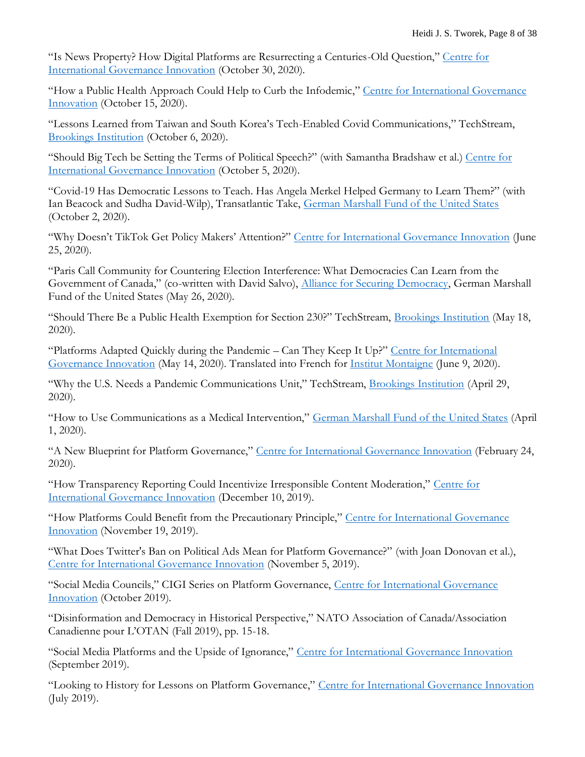"Is News Property? How Digital Platforms are Resurrecting a Centuries-Old Question," [Centre for](https://www.cigionline.org/articles/news-property-how-digital-platforms-are-resurrecting-centuries-old-question)  [International Governance Innovation](https://www.cigionline.org/articles/news-property-how-digital-platforms-are-resurrecting-centuries-old-question) (October 30, 2020).

"How a Public Health Approach Could Help to Curb the Infodemic," [Centre for International Governance](https://www.cigionline.org/articles/how-public-health-approach-could-help-curb-infodemic)  [Innovation](https://www.cigionline.org/articles/how-public-health-approach-could-help-curb-infodemic) (October 15, 2020).

"Lessons Learned from Taiwan and South Korea's Tech-Enabled Covid Communications," TechStream, [Brookings Institution](https://www.brookings.edu/techstream/lessons-learned-from-taiwan-and-south-koreas-tech-enabled-covid-19-communications/) (October 6, 2020).

"Should Big Tech be Setting the Terms of Political Speech?" (with Samantha Bradshaw et al.) [Centre for](https://www.cigionline.org/articles/should-big-tech-be-setting-terms-political-speech)  [International Governance Innovation](https://www.cigionline.org/articles/should-big-tech-be-setting-terms-political-speech) (October 5, 2020).

"Covid-19 Has Democratic Lessons to Teach. Has Angela Merkel Helped Germany to Learn Them?" (with Ian Beacock and Sudha David-Wilp), Transatlantic Take, [German Marshall Fund of the United States](https://www.gmfus.org/publications/covid-19-has-democratic-lessons-teach-has-angela-merkel-helped-germany-learn-them#utm_source=Twitter&utm_medium=Social) (October 2, 2020).

"Why Doesn't TikTok Get Policy Makers' Attention?" [Centre for International Governance Innovation](https://www.cigionline.org/articles/why-doesnt-tiktok-get-policy-makers-attention) (June 25, 2020).

"Paris Call Community for Countering Election Interference: What Democracies Can Learn from the Government of Canada," (co-written with David Salvo), [Alliance for Securing Democracy,](https://securingdemocracy.gmfus.org/paris-call-community-for-countering-election-interference-what-democracies-can-learn-from-the-government-of-canada/) German Marshall Fund of the United States (May 26, 2020).

"Should There Be a Public Health Exemption for Section 230?" TechStream, [Brookings Institution](https://www.brookings.edu/techstream/should-there-be-a-public-health-exemption-for-section-230/) (May 18, 2020).

"Platforms Adapted Quickly during the Pandemic – Can They Keep It Up?" Centre for International [Governance Innovation](https://www.cigionline.org/articles/platforms-adapted-quickly-during-pandemic-can-they-keep-it) (May 14, 2020). Translated into French for [Institut Montaigne](https://www.institutmontaigne.org/blog/les-plateformes-se-sont-adaptees-rapidement-pendant-la-crise-sanitaire-peuvent-elles-continuer) (June 9, 2020).

"Why the U.S. Needs a Pandemic Communications Unit," TechStream, [Brookings Institution](https://www.brookings.edu/techstream/why-the-u-s-needs-a-pandemic-communications-unit/) (April 29, 2020).

"How to Use Communications as a Medical Intervention," [German Marshall Fund of the United States](http://www.gmfus.org/blog/2020/04/01/how-use-communication-medical-intervention) (April 1, 2020).

"A New Blueprint for Platform Governance," [Centre for International Governance Innovation](https://www.cigionline.org/articles/new-blueprint-platform-governance) (February 24, 2020).

"How Transparency Reporting Could Incentivize Irresponsible Content Moderation," [Centre for](https://www.cigionline.org/articles/how-transparency-reporting-could-incentivize-irresponsible-content-moderation)  [International Governance Innovation](https://www.cigionline.org/articles/how-transparency-reporting-could-incentivize-irresponsible-content-moderation) (December 10, 2019).

"How Platforms Could Benefit from the Precautionary Principle," [Centre for International Governance](https://www.cigionline.org/articles/how-platforms-could-benefit-precautionary-principle)  [Innovation](https://www.cigionline.org/articles/how-platforms-could-benefit-precautionary-principle) (November 19, 2019).

"What Does Twitter's Ban on Political Ads Mean for Platform Governance?" (with Joan Donovan et al.), Centre [for International Governance Innovation](https://www.cigionline.org/articles/what-does-twitters-ban-political-ads-mean-platform-governance) (November 5, 2019).

"Social Media Councils," CIGI Series on Platform Governance, [Centre for International Governance](https://www.cigionline.org/articles/social-media-councils?utm_source=twitter&utm_medium=social&utm_campaign=platforms)  [Innovation](https://www.cigionline.org/articles/social-media-councils?utm_source=twitter&utm_medium=social&utm_campaign=platforms) (October 2019).

"Disinformation and Democracy in Historical Perspective," NATO Association of Canada/Association Canadienne pour L'OTAN (Fall 2019), pp. 15-18.

"Social Media Platforms and the Upside of Ignorance," [Centre for International Governance Innovation](https://www.cigionline.org/articles/social-media-platforms-and-upside-ignorance) (September 2019).

"Looking to History for Lessons on Platform Governance," [Centre for International Governance Innovation](https://www.cigionline.org/articles/looking-history-lessons-platform-governance) (July 2019).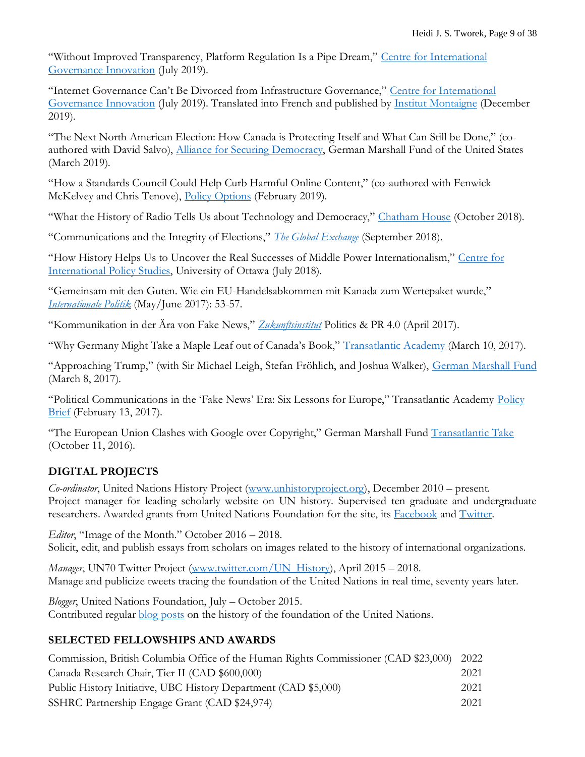"Without Improved Transparency, Platform Regulation Is a Pipe Dream," [Centre for International](https://www.cigionline.org/articles/without-improved-transparency-platform-regulation-pipe-dream)  [Governance Innovation](https://www.cigionline.org/articles/without-improved-transparency-platform-regulation-pipe-dream) (July 2019).

"Internet Governance Can't Be Divorced from Infrastructure Governance," Centre for International [Governance Innovation](https://www.cigionline.org/articles/internet-governance-cant-be-divorced-infrastructure-governance) (July 2019). Translated into French and published by [Institut Montaigne](https://www.institutmontaigne.org/blog/la-gouvernance-de-linternet-est-une-gouvernance-des-infrastructures) (December 2019).

"The Next North American Election: How Canada is Protecting Itself and What Can Still be Done," (coauthored with David Salvo), *Alliance for Securing Democracy*, German Marshall Fund of the United States (March 2019).

"How a Standards Council Could Help Curb Harmful Online Content," (co-authored with Fenwick McKelvey and Chris Tenove), [Policy Options](http://policyoptions.irpp.org/magazines/february-2019/standards-council-help-curb-harmful-online-content/) (February 2019).

"What the History of Radio Tells Us about Technology and Democracy," [Chatham House](https://demtech.chathamhouse.org/what-the-history-of-radio-tells-us-about-technology-and-democracy/) (October 2018).

"Communications and the Integrity of Elections," *[The Global Exchange](https://www.cgai.ca/communications_and_the_integrity_of_elections)* (September 2018).

"How History Helps Us to Uncover the Real Successes of Middle Power Internationalism," [Centre for](http://www.cips-cepi.ca/2018/07/15/how-history-helps-us-uncover-the-real-successes-of-middle-power-internationalism/)  [International Policy Studies,](http://www.cips-cepi.ca/2018/07/15/how-history-helps-us-uncover-the-real-successes-of-middle-power-internationalism/) University of Ottawa (July 2018).

"Gemeinsam mit den Guten. Wie ein EU-Handelsabkommen mit Kanada zum Wertepaket wurde," *[Internationale Politik](https://zeitschrift-ip.dgap.org/de/ip-die-zeitschrift/archiv/jahrgang-2017/mai-juni/gemeinsam-mit-den-guten)* (May/June 2017): 53-57.

"Kommunikation in der Ära von Fake News," *[Zukunftsinstitut](http://www.zukunftsinstitut.de/artikel/15-politics-pr-40/longreads/kommunikation-in-der-aera-der-fake-news/)* Politics & PR 4.0 (April 2017).

"Why Germany Might Take a Maple Leaf out of Canada's Book," [Transatlantic Academy](http://www.transatlanticacademy.org/node/1013) (March 10, 2017).

"Approaching Trump," (with Sir Michael Leigh, Stefan Fröhlich, and Joshua Walker), [German Marshall Fund](http://www.gmfus.org/blog/2017/03/08/approaching-trump) (March 8, 2017).

"Political Communications in the 'Fake News' Era: Six Lessons for Europe," Transatlantic Academy [Policy](http://www.transatlanticacademy.org/publications/political-communications-fake-news-era-six-lessons-europe)  [Brief](http://www.transatlanticacademy.org/publications/political-communications-fake-news-era-six-lessons-europe) (February 13, 2017).

"The European Union Clashes with Google over Copyright," German Marshall Fund [Transatlantic Take](http://www.gmfus.org/blog/2016/10/11/european-union-clashes-google-over-copyright) (October 11, 2016).

## **DIGITAL PROJECTS**

*Co-ordinator*, United Nations History Project [\(www.unhistoryproject.org\)](http://www.unhistoryproject.org/), December 2010 – present. Project manager for leading scholarly website on UN history. Supervised ten graduate and undergraduate researchers. Awarded grants from United Nations Foundation for the site, its [Facebook](http://www.facebook.com/unitednationshistoryproject) and [Twitter.](http://www.twitter.com/UN_History)

*Editor*, "Image of the Month." October 2016 – 2018. Solicit, edit, and publish essays from scholars on images related to the history of international organizations.

*Manager*, UN70 Twitter Project [\(www.twitter.com/UN\\_History\)](http://www.twitter.com/UN_History), April 2015 – 2018. Manage and publicize tweets tracing the foundation of the United Nations in real time, seventy years later.

*Blogger*, United Nations Foundation, July – October 2015. Contributed regular **blog posts** on the history of the foundation of the United Nations.

### **SELECTED FELLOWSHIPS AND AWARDS**

| Commission, British Columbia Office of the Human Rights Commissioner (CAD \$23,000) 2022 |      |
|------------------------------------------------------------------------------------------|------|
| Canada Research Chair, Tier II (CAD \$600,000)                                           | 2021 |
| Public History Initiative, UBC History Department (CAD \$5,000)                          | 2021 |
| SSHRC Partnership Engage Grant (CAD \$24,974)                                            | 2021 |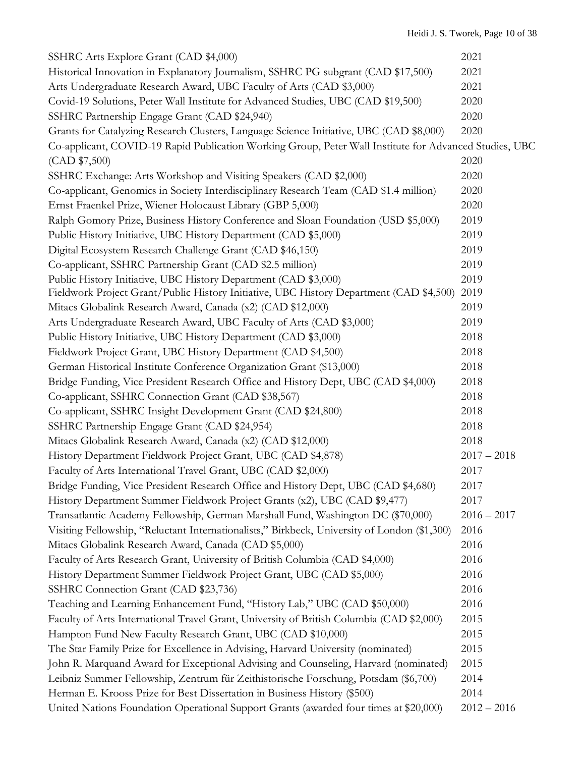| SSHRC Arts Explore Grant (CAD \$4,000)                                                                 | 2021          |
|--------------------------------------------------------------------------------------------------------|---------------|
| Historical Innovation in Explanatory Journalism, SSHRC PG subgrant (CAD \$17,500)                      | 2021          |
| Arts Undergraduate Research Award, UBC Faculty of Arts (CAD \$3,000)                                   | 2021          |
| Covid-19 Solutions, Peter Wall Institute for Advanced Studies, UBC (CAD \$19,500)                      | 2020          |
| SSHRC Partnership Engage Grant (CAD \$24,940)                                                          | 2020          |
| Grants for Catalyzing Research Clusters, Language Science Initiative, UBC (CAD \$8,000)                | 2020          |
| Co-applicant, COVID-19 Rapid Publication Working Group, Peter Wall Institute for Advanced Studies, UBC |               |
| (CAD \$7,500)                                                                                          | 2020          |
| SSHRC Exchange: Arts Workshop and Visiting Speakers (CAD \$2,000)                                      | 2020          |
| Co-applicant, Genomics in Society Interdisciplinary Research Team (CAD \$1.4 million)                  | 2020          |
| Ernst Fraenkel Prize, Wiener Holocaust Library (GBP 5,000)                                             | 2020          |
| Ralph Gomory Prize, Business History Conference and Sloan Foundation (USD \$5,000)                     | 2019          |
| Public History Initiative, UBC History Department (CAD \$5,000)                                        | 2019          |
| Digital Ecosystem Research Challenge Grant (CAD \$46,150)                                              | 2019          |
| Co-applicant, SSHRC Partnership Grant (CAD \$2.5 million)                                              | 2019          |
| Public History Initiative, UBC History Department (CAD \$3,000)                                        | 2019          |
| Fieldwork Project Grant/Public History Initiative, UBC History Department (CAD \$4,500)                | 2019          |
| Mitacs Globalink Research Award, Canada (x2) (CAD \$12,000)                                            | 2019          |
| Arts Undergraduate Research Award, UBC Faculty of Arts (CAD \$3,000)                                   | 2019          |
| Public History Initiative, UBC History Department (CAD \$3,000)                                        | 2018          |
| Fieldwork Project Grant, UBC History Department (CAD \$4,500)                                          | 2018          |
| German Historical Institute Conference Organization Grant (\$13,000)                                   | 2018          |
| Bridge Funding, Vice President Research Office and History Dept, UBC (CAD \$4,000)                     | 2018          |
| Co-applicant, SSHRC Connection Grant (CAD \$38,567)                                                    | 2018          |
| Co-applicant, SSHRC Insight Development Grant (CAD \$24,800)                                           | 2018          |
| SSHRC Partnership Engage Grant (CAD \$24,954)                                                          | 2018          |
| Mitacs Globalink Research Award, Canada (x2) (CAD \$12,000)                                            | 2018          |
| History Department Fieldwork Project Grant, UBC (CAD \$4,878)                                          | $2017 - 2018$ |
| Faculty of Arts International Travel Grant, UBC (CAD \$2,000)                                          | 2017          |
| Bridge Funding, Vice President Research Office and History Dept, UBC (CAD \$4,680)                     | 2017          |
| History Department Summer Fieldwork Project Grants (x2), UBC (CAD \$9,477)                             | 2017          |
| Transatlantic Academy Fellowship, German Marshall Fund, Washington DC (\$70,000)                       | $2016 - 2017$ |
| Visiting Fellowship, "Reluctant Internationalists," Birkbeck, University of London (\$1,300)           | 2016          |
| Mitacs Globalink Research Award, Canada (CAD \$5,000)                                                  | 2016          |
| Faculty of Arts Research Grant, University of British Columbia (CAD \$4,000)                           | 2016          |
| History Department Summer Fieldwork Project Grant, UBC (CAD \$5,000)                                   | 2016          |
| SSHRC Connection Grant (CAD \$23,736)                                                                  | 2016          |
| Teaching and Learning Enhancement Fund, "History Lab," UBC (CAD \$50,000)                              | 2016          |
| Faculty of Arts International Travel Grant, University of British Columbia (CAD \$2,000)               | 2015          |
| Hampton Fund New Faculty Research Grant, UBC (CAD \$10,000)                                            | 2015          |
| The Star Family Prize for Excellence in Advising, Harvard University (nominated)                       | 2015          |
| John R. Marquand Award for Exceptional Advising and Counseling, Harvard (nominated)                    | 2015          |
| Leibniz Summer Fellowship, Zentrum für Zeithistorische Forschung, Potsdam (\$6,700)                    | 2014          |
| Herman E. Krooss Prize for Best Dissertation in Business History (\$500)                               | 2014          |
| United Nations Foundation Operational Support Grants (awarded four times at \$20,000)                  | $2012 - 2016$ |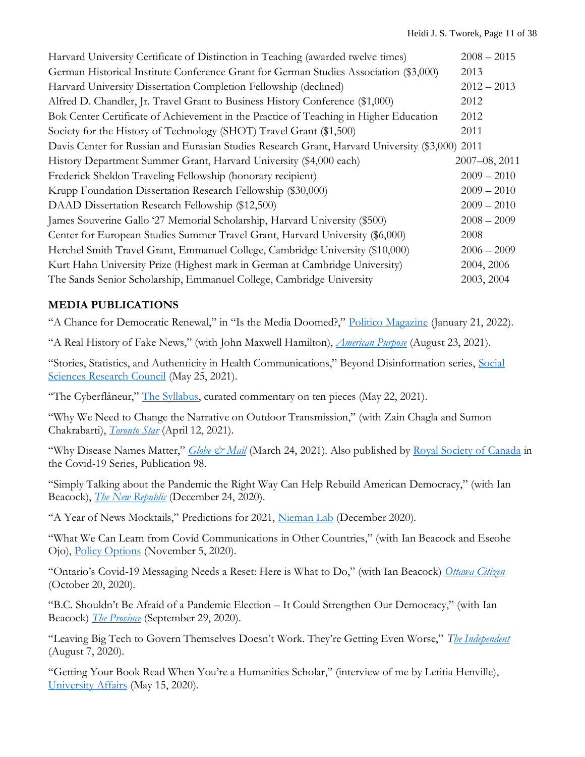| Harvard University Certificate of Distinction in Teaching (awarded twelve times)                | $2008 - 2015$ |
|-------------------------------------------------------------------------------------------------|---------------|
| German Historical Institute Conference Grant for German Studies Association (\$3,000)           | 2013          |
| Harvard University Dissertation Completion Fellowship (declined)                                | $2012 - 2013$ |
| Alfred D. Chandler, Jr. Travel Grant to Business History Conference (\$1,000)                   | 2012          |
| Bok Center Certificate of Achievement in the Practice of Teaching in Higher Education           | 2012          |
| Society for the History of Technology (SHOT) Travel Grant (\$1,500)                             | 2011          |
| Davis Center for Russian and Eurasian Studies Research Grant, Harvard University (\$3,000) 2011 |               |
| History Department Summer Grant, Harvard University (\$4,000 each)                              | 2007-08, 2011 |
| Frederick Sheldon Traveling Fellowship (honorary recipient)                                     | $2009 - 2010$ |
| Krupp Foundation Dissertation Research Fellowship (\$30,000)                                    | $2009 - 2010$ |
| DAAD Dissertation Research Fellowship (\$12,500)                                                | $2009 - 2010$ |
| James Souverine Gallo '27 Memorial Scholarship, Harvard University (\$500)                      | $2008 - 2009$ |
| Center for European Studies Summer Travel Grant, Harvard University (\$6,000)                   | 2008          |
| Herchel Smith Travel Grant, Emmanuel College, Cambridge University (\$10,000)                   | $2006 - 2009$ |
| Kurt Hahn University Prize (Highest mark in German at Cambridge University)                     | 2004, 2006    |
| The Sands Senior Scholarship, Emmanuel College, Cambridge University                            | 2003, 2004    |

### **MEDIA PUBLICATIONS**

"A Chance for Democratic Renewal," in "Is the Media Doomed?," [Politico Magazine](https://www.politico.com/news/magazine/2022/01/21/media-journalism-future-527294) (January 21, 2022).

"A Real History of Fake News," (with John Maxwell Hamilton), *[American Purpose](https://www.americanpurpose.com/articles/a-short-history-of-fake-news/)* (August 23, 2021).

"Stories, Statistics, and Authenticity in Health Communications," Beyond Disinformation series, [Social](https://items.ssrc.org/beyond-disinformation/stories-statistics-and-authenticity-in-health-communications/)  [Sciences Research Council](https://items.ssrc.org/beyond-disinformation/stories-statistics-and-authenticity-in-health-communications/) (May 25, 2021).

"The Cyberflâneur," [The Syllabus,](https://www.the-syllabus.com/cyberflaneur/the-cyberflaneur-48-heidi-tworek) curated commentary on ten pieces (May 22, 2021).

"Why We Need to Change the Narrative on Outdoor Transmission," (with Zain Chagla and Sumon Chakrabarti), *[Toronto Star](https://www.thestar.com/opinion/contributors/2021/04/12/why-we-need-to-change-the-narrative-on-outdoor-transmission.html)* (April 12, 2021).

"Why Disease Names Matter," *[Globe & Mail](https://www.theglobeandmail.com/canada/article-why-disease-names-matter/)* (March 24, 2021). Also published by [Royal Society of Canada](https://rsc-src.ca/en/voices/why-disease-names-matter) in the Covid-19 Series, Publication 98.

"Simply Talking about the Pandemic the Right Way Can Help Rebuild American Democracy," (with Ian Beacock), *[The New Republic](https://newrepublic.com/article/160504/biden-covid-pandemic-communication-strategy-rebuild-american-democracy)* (December 24, 2020).

"A Year of News Mocktails," Predictions for 2021, [Nieman Lab](https://www.niemanlab.org/2020/12/a-year-of-news-mocktails/) (December 2020).

"What We Can Learn from Covid Communications in Other Countries," (with Ian Beacock and Eseohe Ojo), [Policy Options](https://policyoptions.irpp.org/magazines/november-2020/what-we-can-learn-from-covid-communications-in-other-countries/) (November 5, 2020).

"Ontario's Covid-19 Messaging Needs a Reset: Here is What to Do," (with Ian Beacock) *[Ottawa Citizen](https://ottawacitizen.com/opinion/tworek-and-beacock-ontarios-covid-19-messaging-needs-a-reset-heres-what-to-do)* (October 20, 2020).

"B.C. Shouldn't Be Afraid of a Pandemic Election – It Could Strengthen Our Democracy," (with Ian Beacock) *[The Province](https://theprovince.com/opinion/ian-beacock-and-heidi-tworek-b-c-shouldnt-be-afraid-of-a-pandemic-election-it-could-strengthen-our-democracy)* (September 29, 2020).

"Leaving Big Tech to Govern Themselves Doesn't Work. They're Getting Even Worse," *[The Independent](https://www.independent.co.uk/voices/us-uk-trade-deal-facebook-google-amazon-bezos-a9657991.html)* (August 7, 2020).

"Getting Your Book Read When You're a Humanities Scholar," (interview of me by Letitia Henville), [University Affairs](https://www.universityaffairs.ca/career-advice/ask-dr-editor/getting-your-book-read-and-cited-when-youre-a-humanities-scholar/) (May 15, 2020).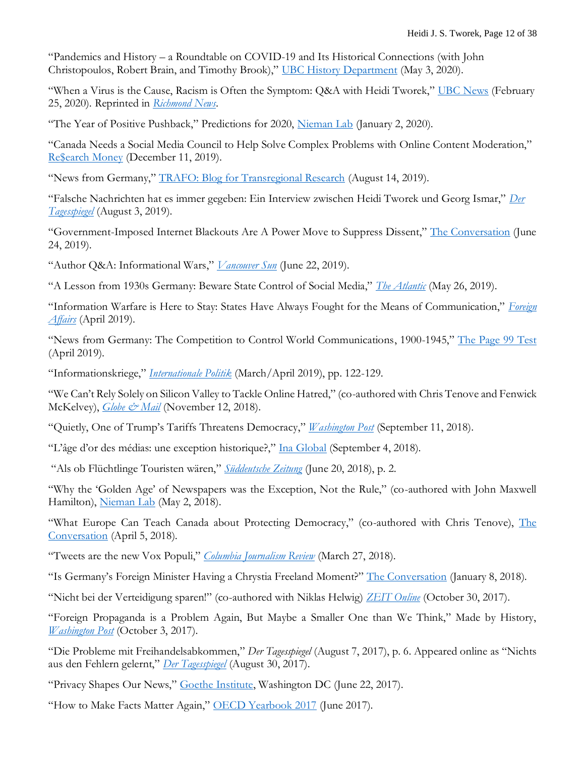"Pandemics and History – a Roundtable on COVID-19 and Its Historical Connections (with John Christopoulos, Robert Brain, and Timothy Brook)," [UBC History Department](https://history.ubc.ca/news/pandemics-and-history-a-roundtable-on-covid-19-and-its-historical-connections/) (May 3, 2020).

"When a Virus is the Cause, Racism is Often the Symptom: Q&A with Heidi Tworek," [UBC News](https://news.ubc.ca/2020/02/25/when-a-virus-is-the-cause-racism-is-often-the-symptom/) (February 25, 2020). Reprinted in *[Richmond News](https://www.richmond-news.com/news/coronavirus-racism-q-and-a-ubc-professor-speaks-out-1.24083776)*.

"The Year of Positive Pushback," Predictions for 2020, [Nieman Lab](https://www.niemanlab.org/2020/01/the-year-of-positive-pushback/) (January 2, 2020).

"Canada Needs a Social Media Council to Help Solve Complex Problems with Online Content Moderation," [Re\\$earch Money](https://researchmoneyinc.com/articles/canada-needs-a-social-media-council-to-help-solve-complex-problems-with-online-content-moderation/) (December 11, 2019).

"News from Germany," [TRAFO: Blog for Transregional Research](https://trafo.hypotheses.org/19381) (August 14, 2019).

"Falsche Nachrichten hat es immer gegeben: Ein Interview zwischen Heidi Tworek und Georg Ismar," *[Der](https://www.tagesspiegel.de/politik/historikerin-ueber-propaganda-und-fake-news-falsche-nachrichten-hat-es-immer-gegeben/24865578.html)  [Tagesspiegel](https://www.tagesspiegel.de/politik/historikerin-ueber-propaganda-und-fake-news-falsche-nachrichten-hat-es-immer-gegeben/24865578.html)* (August 3, 2019).

"Government-Imposed Internet Blackouts Are A Power Move to Suppress Dissent," [The Conversation](https://theconversation.com/government-imposed-internet-blackouts-are-a-power-move-to-suppress-dissent-119153) (June 24, 2019).

"Author Q&A: Informational Wars," *[Vancouver Sun](https://vancouversun.com/entertainment/books/author-qa-heidi-tworeks-new-book-shows-information-warfare-has-a-long-history)* (June 22, 2019).

"A Lesson from 1930s Germany: Beware State Control of Social Media," *[The Atlantic](https://www.theatlantic.com/international/archive/2019/05/germany-war-radio-social-media/590149/)* (May 26, 2019).

"Information Warfare is Here to Stay: States Have Always Fought for the Means of Communication," *[Foreign](https://www.foreignaffairs.com/articles/germany/2019-04-25/information-warfare-here-stay?)  [Affairs](https://www.foreignaffairs.com/articles/germany/2019-04-25/information-warfare-here-stay?)* (April 2019).

"News from Germany: The Competition to Control World Communications, 1900-1945," [The Page 99 Test](https://page99test.blogspot.com/2019/04/heidi-j-s-tworeks-news-from-germany.html) (April 2019).

"Informationskriege," *[Internationale Politik](https://zeitschrift-ip.dgap.org/de/ip-die-zeitschrift/archiv/jahrgang-2019/maerz-april-2019/informationskriege)* (March/April 2019), pp. 122-129.

"We Can't Rely Solely on Silicon Valley to Tackle Online Hatred," (co-authored with Chris Tenove and Fenwick McKelvey), *[Globe & Mail](https://www.theglobeandmail.com/opinion/article-we-cant-rely-solely-on-silicon-valley-to-tackle-online-hatred/)* (November 12, 2018).

"Quietly, One of Trump's Tariffs Threatens Democracy," *[Washington Post](https://www.washingtonpost.com/outlook/2018/09/12/quietly-one-president-trumps-tariffs-threatens-american-democracy/?utm_term=.860ed004f1d1)* (September 11, 2018).

"L'âge d'or des médias: une exception historique?," [Ina Global](https://www.inaglobal.fr/presse/article/l-age-d-or-des-medias-une-exception-historique-10267) (September 4, 2018).

"Als ob Flüchtlinge Touristen wären," *[Süddeutsche Zeitung](http://www.sueddeutsche.de/kultur/bildsprache-in-der-politik-als-ob-fluechtlinge-touristen-waeren-1.4022247?reduced=true)* (June 20, 2018), p. 2.

"Why the 'Golden Age' of Newspapers was the Exception, Not the Rule," (co-authored with John Maxwell Hamilton), [Nieman Lab](http://www.niemanlab.org/2018/05/why-the-golden-age-of-newspapers-was-the-exception-not-the-rule/) (May 2, 2018).

"What Europe Can Teach Canada about Protecting Democracy," (co-authored with Chris Tenove), The [Conversation](https://theconversation.com/what-europe-can-teach-canada-about-protecting-democracy-94261) (April 5, 2018).

"Tweets are the new Vox Populi," *[Columbia Journalism Review](https://www.cjr.org/analysis/tweets-media.php)* (March 27, 2018).

"Is Germany's Foreign Minister Having a Chrystia Freeland Moment?" [The Conversation](https://theconversation.com/is-germanys-foreign-minister-having-a-chrystia-freeland-moment-89833) (January 8, 2018).

"Nicht bei der Verteidigung sparen!" (co-authored with Niklas Helwig) *[ZEIT Online](http://www.zeit.de/politik/ausland/2017-10/sondierungsgespraeche-jamaika-koalition-europa-frankreich-deutschland)* (October 30, 2017).

"Foreign Propaganda is a Problem Again, But Maybe a Smaller One than We Think," Made by History, *[Washington Post](https://www.washingtonpost.com/news/made-by-history/wp/2017/10/03/foreign-propaganda-is-a-problem-again-but-maybe-a-smaller-one-than-we-think/?utm_term=.3a7e1fc8c580)* (October 3, 2017).

"Die Probleme mit Freihandelsabkommen," *Der Tagesspiegel* (August 7, 2017), p. 6. Appeared online as "Nichts aus den Fehlern gelernt," *[Der Tagesspiegel](https://causa.tagesspiegel.de/kolumnen/wechselnden-experten-1/nichts-aus-den-fehlern-gelerntnbsp.html)* (August 30, 2017).

"Privacy Shapes Our News," [Goethe Institute,](https://www.youtube.com/watch?v=8aDPXdU6DSQ) Washington DC (June 22, 2017).

"How to Make Facts Matter Again," [OECD Yearbook 2017](http://www.oecd.org/forum/oecdyearbook/how-to-make-facts-matter-again.htm) (June 2017).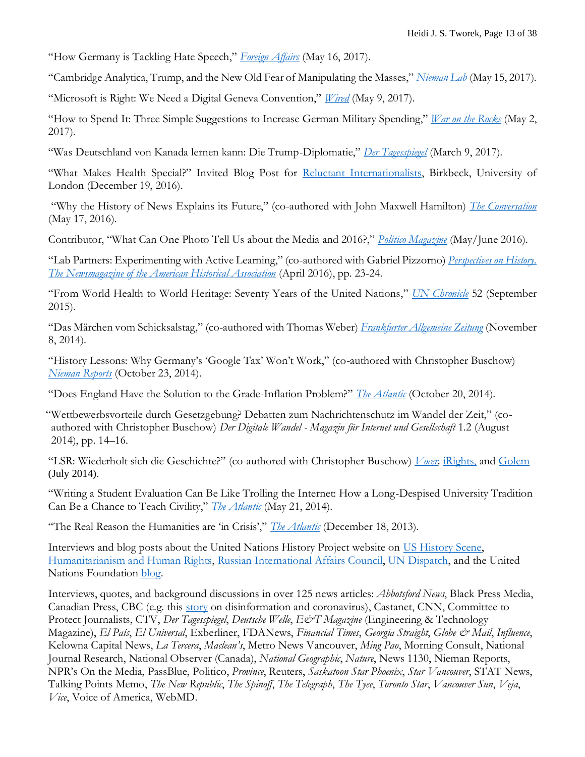"How Germany is Tackling Hate Speech," *[Foreign Affairs](https://www.foreignaffairs.com/articles/germany/2017-05-16/how-germany-tackling-hate-speech)* (May 16, 2017).

"Cambridge Analytica, Trump, and the New Old Fear of Manipulating the Masses," *[Nieman Lab](http://www.niemanlab.org/2017/05/cambridge-analytica-trump-and-the-new-old-fear-of-manipulating-the-masses/)* (May 15, 2017).

"Microsoft is Right: We Need a Digital Geneva Convention," *[Wired](https://www.wired.com/2017/05/microsoft-right-need-digital-geneva-convention/)* (May 9, 2017).

"How to Spend It: Three Simple Suggestions to Increase German Military Spending," *[War on the Rocks](https://warontherocks.com/2017/05/how-to-spend-it-three-simple-suggestions-to-increase-german-military-spending/)* (May 2, 2017).

"Was Deutschland von Kanada lernen kann: Die Trump-Diplomatie," *[Der Tagesspiegel](https://causa.tagesspiegel.de/politik/amerika-unter-trump-wie-wird-es-weitergehen/was-deutschland-von-kanada-lernen-kann-die-trump-diplomatie.html)* (March 9, 2017).

"What Makes Health Special?" Invited Blog Post for [Reluctant Internationalists,](http://www.bbk.ac.uk/reluctantinternationalists/blog/makes-health-special/) Birkbeck, University of London (December 19, 2016).

"Why the History of News Explains its Future," (co-authored with John Maxwell Hamilton) *[The Conversation](https://theconversation.com/why-the-history-of-news-explains-its-future-59150)* (May 17, 2016).

Contributor, "What Can One Photo Tell Us about the Media and 2016?," *[Politico Magazine](http://www.politico.com/magazine/story/2016/04/2016-trump-media-analysis-press-politics-campaign-213826)* (May/June 2016).

"Lab Partners: Experimenting with Active Learning," (co-authored with Gabriel Pizzorno) *[Perspectives on History.](https://www.historians.org/publications-and-directories/perspectives-on-history/april-2016/lab-partners-experimenting-with-active-learning)  [The Newsmagazine of the American Historical Association](https://www.historians.org/publications-and-directories/perspectives-on-history/april-2016/lab-partners-experimenting-with-active-learning)* (April 2016), pp. 23-24.

"From World Health to World Heritage: Seventy Years of the United Nations," *[UN Chronicle](http://unchronicle.un.org/article/world-health-world-heritage-70-years-united-nations/)* 52 (September 2015).

"Das Märchen vom Schicksalstag," (co-authored with Thomas Weber) *[Frankfurter Allgemeine Zeitung](http://www.faz.net/-gqz-7w28a)* (November 8, 2014).

"History Lessons: Why Germany's 'Google Tax' Won't Work," (co-authored with Christopher Buschow) *[Nieman Reports](http://niemanreports.org/articles/history-lessons-why-germanys-google-tax-wont-work/)* (October 23, 2014).

"Does England Have the Solution to the Grade-Inflation Problem?" *[The Atlantic](http://www.theatlantic.com/education/archive/2014/10/does-england-have-the-solution-to-the-grade-inflation-problem/381571/)* (October 20, 2014).

"Wettbewerbsvorteile durch Gesetzgebung? Debatten zum Nachrichtenschutz im Wandel der Zeit," (coauthored with Christopher Buschow) *Der Digitale Wandel - Magazin für Internet und Gesellschaft* 1.2 (August 2014), pp. 14–16.

"LSR: Wiederholt sich die Geschichte?" (co-authored with Christopher Buschow) *[Vocer,](http://www.vocer.org/lsr-wiederholt-sich-die-geschichte/)* [iRights,](http://irights.info/artikel/leistungsschutzrecht-wiederholt-sich-die-geschichte/23523) and [Golem](http://www.golem.de/news/leistungsschutzrecht-die-fast-100-jahre-alte-debatte-um-den-nachrichtendiebstahl-1407-107617.html) (July 2014).

"Writing a Student Evaluation Can Be Like Trolling the Internet: How a Long-Despised University Tradition Can Be a Chance to Teach Civility," *[The Atlantic](http://www.theatlantic.com/education/archive/2014/05/writing-a-student-evaluation-can-be-kind-of-like-trolling-a-comments-section/371240/)* (May 21, 2014).

"The Real Reason the Humanities are 'in Crisis'," *[The Atlantic](http://www.theatlantic.com/education/archive/2013/12/the-real-reason-the-humanities-are-in-crisis/282441/)* (December 18, 2013).

Interviews and blog posts about the United Nations History Project website on [US History Scene,](http://ushistoryscene.com/tweeting-the-creation-of-the-united-nations/) [Humanitarianism and Human Rights,](http://hhr.hypotheses.org/973) [Russian International Affairs Council,](http://russiancouncil.ru/en/inner/?id_4=928#top) [UN Dispatch,](http://www.undispatch.com/un-history-project-opens-at-harvard-university) and the United Nations Foundation [blog.](http://www.unfoundation.org/blog/unlocking-the-keys-to-united-nations-history.html)

Interviews, quotes, and background discussions in over 125 news articles: *Abbotsford News*, Black Press Media, Canadian Press, CBC (e.g. this [story](https://www.cbc.ca/news/canada/manitoba/china-coronavirus-online-chatter-conspiracy-1.5442376) on disinformation and coronavirus), Castanet, CNN, Committee to Protect Journalists, CTV, *Der Tagesspiegel*, *Deutsche Welle*,  $E\acute{\c{c}}T$ *Magazine* (Engineering & Technology Magazine), *El País*, *El Universal*, Exberliner, FDANews, *Financial Times*, *Georgia Straight*, *Globe & Mail*, *Influence*, Kelowna Capital News, *La Tercera*, *Maclean's*, Metro News Vancouver, *Ming Pao*, Morning Consult, National Journal Research, National Observer (Canada), *National Geographic*, *Nature*, News 1130, Nieman Reports, NPR's On the Media, PassBlue, Politico, *Province*, Reuters, *Saskatoon Star Phoenix*, *Star Vancouver*, STAT News, Talking Points Memo, *The New Republic*, *The Spinoff*, *The Telegraph*, *The Tyee*, *Toronto Star*, *Vancouver Sun*, *Veja*, *Vice*, Voice of America, WebMD.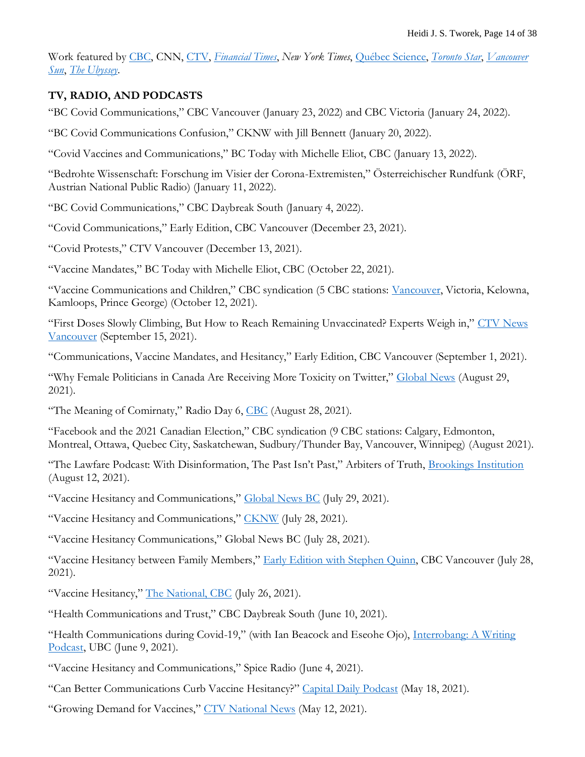Work featured by [CBC,](https://www.cbc.ca/radio/spark/fake-news-isn-t-new-modern-disinformation-uses-centuries-old-techniques-author-says-1.5307528) CNN, [CTV,](https://election.ctvnews.ca/how-online-abuse-and-hate-could-be-hurting-our-democracy-1.4637623) *[Financial Times](https://giftarticle.ft.com/giftarticle/actions/redeem/25052b2b-1e6c-45a7-92a8-81c2d961fe26)*, *New York Times*, [Québec Science,](https://www.quebecscience.qc.ca/societe/discours-haineux-recherche/) *[Toronto Star](https://www.thestar.com/news/canada/2021/01/17/its-cold-its-dark-and-canadians-have-covid-fatigue-are-we-still-in-this-together.html)*, *[Vancouver](https://vancouversun.com/news/covid-19-is-a-dress-rehearsal-for-next-pandemic)  [Sun](https://vancouversun.com/news/covid-19-is-a-dress-rehearsal-for-next-pandemic)*, *[The Ubyssey](https://www.ubyssey.ca/features/our-campus-heidi-tworek-silences-of-history/?ref=frontpage)*.

## **TV, RADIO, AND PODCASTS**

"BC Covid Communications," CBC Vancouver (January 23, 2022) and CBC Victoria (January 24, 2022).

"BC Covid Communications Confusion," CKNW with Jill Bennett (January 20, 2022).

"Covid Vaccines and Communications," BC Today with Michelle Eliot, CBC (January 13, 2022).

"Bedrohte Wissenschaft: Forschung im Visier der Corona-Extremisten," Österreichischer Rundfunk (ÖRF, Austrian National Public Radio) (January 11, 2022).

"BC Covid Communications," CBC Daybreak South (January 4, 2022).

"Covid Communications," Early Edition, CBC Vancouver (December 23, 2021).

"Covid Protests," CTV Vancouver (December 13, 2021).

"Vaccine Mandates," BC Today with Michelle Eliot, CBC (October 22, 2021).

"Vaccine Communications and Children," CBC syndication (5 CBC stations: [Vancouver,](https://www.cbc.ca/listen/live-radio/1-91-the-early-edition/clip/15871513-will-parents-line-kids-vaccinated) Victoria, Kelowna, Kamloops, Prince George) (October 12, 2021).

"First Doses Slowly Climbing, But How to Reach Remaining Unvaccinated? Experts Weigh in," [CTV News](https://bc.ctvnews.ca/first-doses-slowly-climbing-but-how-to-reach-remaining-unvaccinated-experts-weigh-in-1.5587438)  [Vancouver](https://bc.ctvnews.ca/first-doses-slowly-climbing-but-how-to-reach-remaining-unvaccinated-experts-weigh-in-1.5587438) (September 15, 2021).

"Communications, Vaccine Mandates, and Hesitancy," Early Edition, CBC Vancouver (September 1, 2021).

"Why Female Politicians in Canada Are Receiving More Toxicity on Twitter," [Global News](https://globalnews.ca/video/8150871/why-female-political-candidates-in-canada-are-receiving-more-toxicity-on-twitter/) (August 29, 2021).

"The Meaning of Comirnaty," Radio Day 6, [CBC](https://www.cbc.ca/radio/day6/hazaras-at-risk-in-afghanistan-the-meaning-of-comirnaty-a-brief-history-of-poppers-nancy-drew-at-91-more-1.6155032/the-pfizer-vaccine-s-new-name-is-comirnaty-experts-break-down-why-it-sounds-so-strange-1.6155693) (August 28, 2021).

"Facebook and the 2021 Canadian Election," CBC syndication (9 CBC stations: Calgary, Edmonton, Montreal, Ottawa, Quebec City, Saskatchewan, Sudbury/Thunder Bay, Vancouver, Winnipeg) (August 2021).

"The Lawfare Podcast: With Disinformation, The Past Isn't Past," Arbiters of Truth, [Brookings Institution](https://www.lawfareblog.com/lawfare-podcast-disinformation-past-isnt-past) (August 12, 2021).

"Vaccine Hesitancy and Communications," [Global News BC](http://globalnews.ca/video/8070409/targeting-covid-19-vaccine-hesitancy) (July 29, 2021).

"Vaccine Hesitancy and Communications," [CKNW](https://omny.fm/shows/steele-drex/why-is-the-vaccination-rate-in-the-interior-and-no) (July 28, 2021).

"Vaccine Hesitancy Communications," Global News BC (July 28, 2021).

"Vaccine Hesitancy between Family Members," [Early Edition with Stephen Quinn,](https://www.cbc.ca/listen/live-radio/1-91-the-early-edition/clip/15857605-vaccine-hesitancy-between-family-members) CBC Vancouver (July 28, 2021).

"Vaccine Hesitancy," [The National, CBC](https://www.cbc.ca/player/play/1926421571974) (July 26, 2021).

"Health Communications and Trust," CBC Daybreak South (June 10, 2021).

"Health Communications during Covid-19," (with Ian Beacock and Eseohe Ojo), [Interrobang: A Writing](https://www.podbean.com/media/share/pb-vxcq7-10562b0?utm_campaign=w_share_ep&utm_medium=dlink&utm_source=w_share)  [Podcast,](https://www.podbean.com/media/share/pb-vxcq7-10562b0?utm_campaign=w_share_ep&utm_medium=dlink&utm_source=w_share) UBC (June 9, 2021).

"Vaccine Hesitancy and Communications," Spice Radio (June 4, 2021).

"Can Better Communications Curb Vaccine Hesitancy?" [Capital Daily Podcast](https://capitaldaily.simplecast.com/episodes/can-better-communication-curb-vaccine-hesitancy) (May 18, 2021).

"Growing Demand for Vaccines," [CTV National News](https://www.ctvnews.ca/video?clipId=2200855) (May 12, 2021).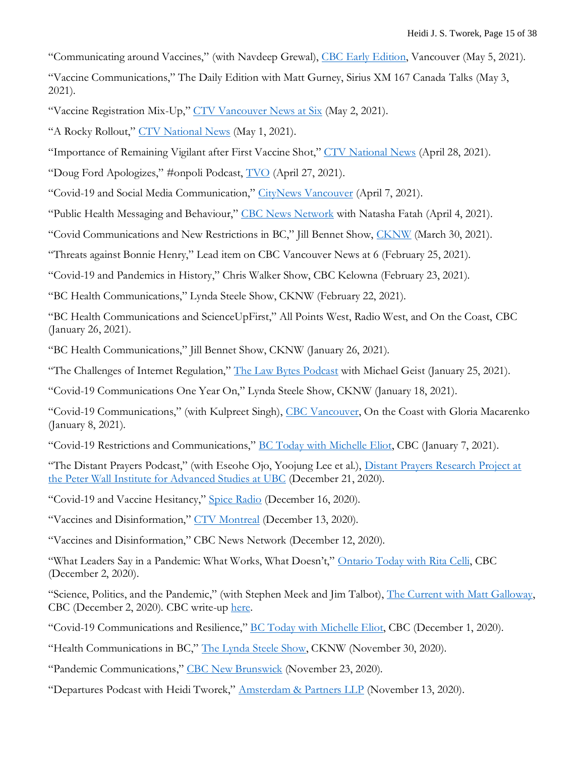"Communicating around Vaccines," (with Navdeep Grewal), [CBC Early Edition,](https://www.cbc.ca/listen/live-radio/1-91-the-early-edition/clip/15841298-vaccine-hesitancy-second-dose?share=true) Vancouver (May 5, 2021).

"Vaccine Communications," The Daily Edition with Matt Gurney, Sirius XM 167 Canada Talks (May 3, 2021).

"Vaccine Registration Mix-Up," [CTV Vancouver News at Six](https://bc.ctvnews.ca/video?binId=1.1184759) (May 2, 2021).

"A Rocky Rollout," [CTV National News](https://www.ctvnews.ca/mobile/video?playlistId=1.5410798) (May 1, 2021).

"Importance of Remaining Vigilant after First Vaccine Shot," [CTV National News](https://www.ctvnews.ca/video?clipId=2190149&playlistId=1.5405089&binId=1.810401&playlistPageNum=1&binPageNum=1) (April 28, 2021).

"Doug Ford Apologizes," #onpoli Podcast, [TVO](https://www.tvo.org/video/ep-109-doug-ford-apologizes) (April 27, 2021).

"Covid-19 and Social Media Communication," [CityNews Vancouver](https://twitter.com/CityNewsVAN/status/1379966085093588995?s=20) (April 7, 2021).

"Public Health Messaging and Behaviour," [CBC News Network](https://twitter.com/NatashaFatah/status/1378781841398886402?s=20) with Natasha Fatah (April 4, 2021).

"Covid Communications and New Restrictions in BC," Jill Bennet Show, [CKNW](https://omny.fm/shows/the-jill-bennett-show/john-horgan-facing-criticism-for-calling-out-young) (March 30, 2021).

"Threats against Bonnie Henry," Lead item on CBC Vancouver News at 6 (February 25, 2021).

"Covid-19 and Pandemics in History," Chris Walker Show, CBC Kelowna (February 23, 2021).

"BC Health Communications," Lynda Steele Show, CKNW (February 22, 2021).

"BC Health Communications and ScienceUpFirst," All Points West, Radio West, and On the Coast, CBC (January 26, 2021).

"BC Health Communications," Jill Bennet Show, CKNW (January 26, 2021).

"The Challenges of Internet Regulation," [The Law Bytes Podcast](https://www.michaelgeist.ca/2021/01/law-bytes-podcast-episode-74/) with Michael Geist (January 25, 2021).

"Covid-19 Communications One Year On," Lynda Steele Show, CKNW (January 18, 2021).

"Covid-19 Communications," (with Kulpreet Singh), [CBC Vancouver,](https://www.cbc.ca/listen/live-radio/1-46/clip/15817981) On the Coast with Gloria Macarenko (January 8, 2021).

"Covid-19 Restrictions and Communications," [BC Today with Michelle Eliot,](https://www.cbc.ca/listen/live-radio/1-4/clip/15817468) CBC (January 7, 2021).

"The Distant Prayers Podcast," (with Eseohe Ojo, Yoojung Lee et al.), [Distant Prayers Research Project at](https://podcasts.google.com/feed/aHR0cHM6Ly93d3cuc3ByZWFrZXIuY29tL3Nob3cvNDcxMzgxMy9lcGlzb2Rlcy9mZWVk)  [the Peter Wall Institute for Advanced Studies at UBC](https://podcasts.google.com/feed/aHR0cHM6Ly93d3cuc3ByZWFrZXIuY29tL3Nob3cvNDcxMzgxMy9lcGlzb2Rlcy9mZWVk) (December 21, 2020).

"Covid-19 and Vaccine Hesitancy," [Spice Radio](https://soundcloud.com/user-244969524-696484203/ubc-professor-explains-how-to-combat-misinformation-during-covid-19-and-vaccine-hesitancy) (December 16, 2020).

"Vaccines and Disinformation," [CTV Montreal](https://montreal.ctvnews.ca/video?clipId=2100850) (December 13, 2020).

"Vaccines and Disinformation," CBC News Network (December 12, 2020).

"What Leaders Say in a Pandemic: What Works, What Doesn't," [Ontario Today with Rita Celli,](https://www.cbc.ca/listen/live-radio/1-45/clip/15812102) CBC (December 2, 2020).

"Science, Politics, and the Pandemic," (with Stephen Meek and Jim Talbot), [The Current with Matt Galloway,](https://www.cbc.ca/radio/thecurrent/the-current-for-dec-2-2020-1.5824817) CBC (December 2, 2020). CBC write-up [here.](https://www.cbc.ca/radio/thecurrent/the-current-for-dec-2-2020-1.5824817/pandemic-decision-making-requires-politics-and-science-work-hand-in-glove-expert-1.5825602)

"Covid-19 Communications and Resilience," [BC Today with Michelle Eliot,](https://www.cbc.ca/listen/live-radio/1-4/clip/15811900) CBC (December 1, 2020).

"Health Communications in BC," [The Lynda Steele Show,](https://omny.fm/shows/steele-drex/do-bc-health-officials-need-help-spreading-the-cov) CKNW (November 30, 2020).

"Pandemic Communications," [CBC New Brunswick](https://podcasts.apple.com/ca/podcast/pandemic-communication/id349662341?i=1000500079471) (November 23, 2020).

"Departures Podcast with Heidi Tworek," [Amsterdam & Partners LLP](https://robertamsterdam.com/departures-podcast-with-heidi-tworek/) (November 13, 2020).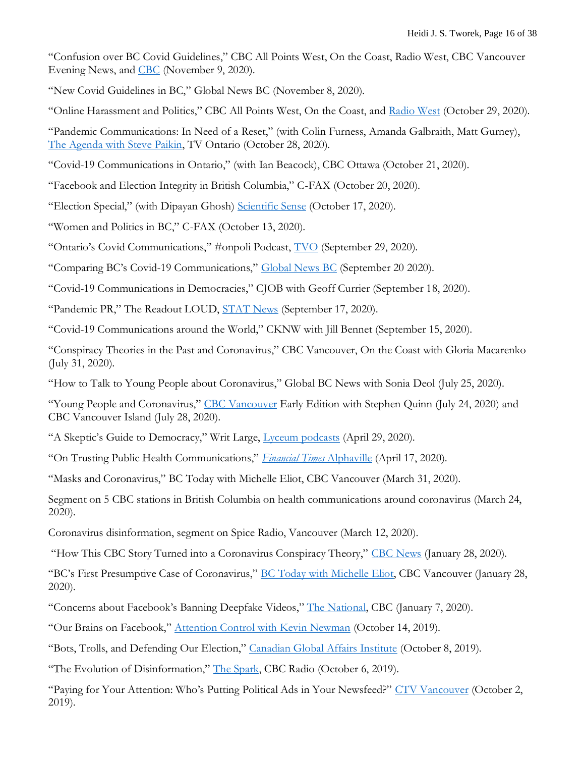"Confusion over BC Covid Guidelines," CBC All Points West, On the Coast, Radio West, CBC Vancouver Evening News, and [CBC](https://www.cbc.ca/news/canada/british-columbia/pandemic-communications-nov-9-1.5796127?cmp=rss) (November 9, 2020).

"New Covid Guidelines in BC," Global News BC (November 8, 2020).

"Online Harassment and Politics," CBC All Points West, On the Coast, and [Radio West](https://www.cbc.ca/listen/live-radio/1-96-radio-west/clip/15806016-bc-teachers-reporting-burnout-working-pandemic-rob-shaw) (October 29, 2020).

"Pandemic Communications: In Need of a Reset," (with Colin Furness, Amanda Galbraith, Matt Gurney), [The Agenda with Steve Paikin,](https://www.tvo.org/video/ontarios-second-wave-pandemic-governance) TV Ontario (October 28, 2020).

"Covid-19 Communications in Ontario," (with Ian Beacock), CBC Ottawa (October 21, 2020).

"Facebook and Election Integrity in British Columbia," C-FAX (October 20, 2020).

"Election Special," (with Dipayan Ghosh) [Scientific Sense](https://anchor.fm/scientificsense/episodes/Election-Special-Dr--Dipayan-Gosh-of-Harvard-Kennedy-School-and-Dr--Heidi-Tworek-of-University-of-British-Columbia-el6siv) (October 17, 2020).

"Women and Politics in BC," C-FAX (October 13, 2020).

"Ontario's Covid Communications," #onpoli Podcast, [TVO](https://www.tvo.org/video/ep-81-ontarios-second-wave-is-here) (September 29, 2020).

"Comparing BC's Covid-19 Communications," [Global News BC](https://globalnews.ca/video/7347173/comparing-bcs-covid-19-communications-strategy) (September 20 2020).

"Covid-19 Communications in Democracies," CJOB with Geoff Currier (September 18, 2020).

"Pandemic PR," The Readout LOUD, **[STAT News](https://www.statnews.com/2020/09/17/podcast-cdc-credibility-crisis-pr-pandemic-virtual-conference-malaise/)** (September 17, 2020).

"Covid-19 Communications around the World," CKNW with Jill Bennet (September 15, 2020).

"Conspiracy Theories in the Past and Coronavirus," CBC Vancouver, On the Coast with Gloria Macarenko (July 31, 2020).

"How to Talk to Young People about Coronavirus," Global BC News with Sonia Deol (July 25, 2020).

"Young People and Coronavirus," [CBC Vancouver](https://www.cbc.ca/listen/live-radio/1-91-the-early-edition/clip/15788853-july-24-2020-getting-people-take-pandemic-seriously) Early Edition with Stephen Quinn (July 24, 2020) and CBC Vancouver Island (July 28, 2020).

"A Skeptic's Guide to Democracy," Writ Large, [Lyceum podcasts](https://www.writlarge.fm/episodes/public-opinion) (April 29, 2020).

"On Trusting Public Health Communications," *[Financial Times](http://ftalphaville.ft.com/2020/04/17/1587114423000/AlphaVid--On-trusting-public-health-communications/)* Alphaville (April 17, 2020).

"Masks and Coronavirus," BC Today with Michelle Eliot, CBC Vancouver (March 31, 2020).

Segment on 5 CBC stations in British Columbia on health communications around coronavirus (March 24, 2020).

Coronavirus disinformation, segment on Spice Radio, Vancouver (March 12, 2020).

"How This CBC Story Turned into a Coronavirus Conspiracy Theory," [CBC News](https://www.youtube.com/watch?v=k5o8aO7e1tQ&feature=youtu.be) (January 28, 2020).

"BC's First Presumptive Case of Coronavirus," [BC Today with Michelle Eliot,](https://www.cbc.ca/listen/live-radio/1-4-bc-today/clip/15757900-b.c.s-first-presumptive-case-of-coronavirus) CBC Vancouver (January 28, 2020).

"Concerns about Facebook's Banning Deepfake Videos," [The National,](http://www.cbc.ca/player/play/1667893315703/) CBC (January 7, 2020).

"Our Brains on Facebook," [Attention Control with Kevin Newman](https://podcasts.apple.com/us/podcast/our-brains-on-facebook/id1476566791?i=1000453406521) (October 14, 2019).

"Bots, Trolls, and Defending Our Election," [Canadian Global Affairs Institute](https://www.cgai.ca/bots_trolls_and_defending_our_elections) (October 8, 2019).

"The Evolution of Disinformation," [The Spark,](https://www.cbc.ca/radio/spark/fake-news-isn-t-new-modern-disinformation-uses-centuries-old-techniques-author-says-1.5307528) CBC Radio (October 6, 2019).

"Paying for Your Attention: Who's Putting Political Ads in Your Newsfeed?" [CTV Vancouver](https://bc.ctvnews.ca/mobile/paying-for-your-attention-who-s-putting-political-ads-in-your-news-feed-1.4621785) (October 2, 2019).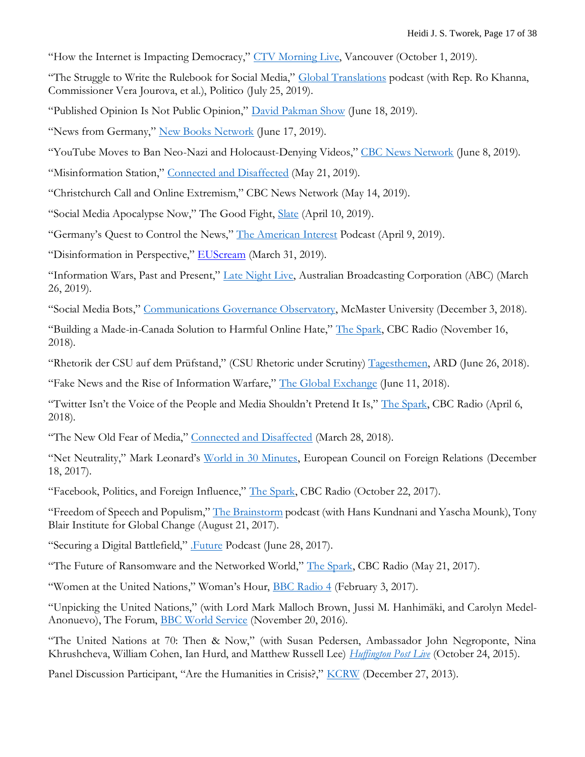"How the Internet is Impacting Democracy," [CTV Morning Live,](https://bc.ctvnews.ca/video?clipId=1793685) Vancouver (October 1, 2019).

"The Struggle to Write the Rulebook for Social Media," [Global Translations](http://cms.megaphone.fm/channel/PPY1840735050?selected=PPY7359829867) podcast (with Rep. Ro Khanna, Commissioner Vera Jourova, et al.), Politico (July 25, 2019).

"Published Opinion Is Not Public Opinion," [David Pakman Show](https://www.youtube.com/watch?v=8y3kUTK5wk0) (June 18, 2019).

"News from Germany," [New Books Network](https://newbooksnetwork.com/heidi-tworek-news-from-germany-the-competition-to-control-world-communications-1900-1945-harvard-up-2019/) (June 17, 2019).

"YouTube Moves to Ban Neo-Nazi and Holocaust-Denying Videos," [CBC News Network](https://www.youtube.com/watch?v=a4llxrYk8Kw&feature=youtu.be) (June 8, 2019).

"Misinformation Station," [Connected and Disaffected](https://soundcloud.com/connectedanddisaffected/ep11-misinformation-station) (May 21, 2019).

"Christchurch Call and Online Extremism," CBC News Network (May 14, 2019).

"Social Media Apocalypse Now," The Good Fight, [Slate](https://slate.com/news-and-politics/2019/04/facebook-and-twitter-started-this-fire-heres-how-to-put-it-out.html) (April 10, 2019).

"Germany's Quest to Control the News," [The American Interest](https://www.the-american-interest.com/podcast/germanys-quest-to-control-the-news/) Podcast (April 9, 2019).

"Disinformation in Perspective," [EUScream](https://euscream.com/disinformation-in-perspective/) (March 31, 2019).

"Information Wars, Past and Present," [Late Night Live,](https://www.abc.net.au/radionational/programs/latenightlive/information-wars,-past-and-present/10944788) Australian Broadcasting Corporation (ABC) (March 26, 2019).

"Social Media Bots," [Communications Governance Observatory,](https://ncgl.humanities.mcmaster.ca/podcasts/) McMaster University (December 3, 2018).

"Building a Made-in-Canada Solution to Harmful Online Hate," [The Spark,](https://www.cbc.ca/radio/spark/414-1.4906733/building-a-made-in-canada-solution-to-harmful-online-hate-1.4906734) CBC Radio (November 16, 2018).

"Rhetorik der CSU auf dem Prüfstand," (CSU Rhetoric under Scrutiny) [Tagesthemen,](https://www.youtube.com/watch?v=i3WlAyBRpOM&feature=youtu.be) ARD (June 26, 2018).

"Fake News and the Rise of Information Warfare," [The Global Exchange](https://soundcloud.com/user-609485369/digital-media-tworek-2018-06-11-242-pm) (June 11, 2018).

"Twitter Isn't the Voice of the People and Media Shouldn't Pretend It Is," [The Spark,](http://www.cbc.ca/radio/spark/spark-392-full-episode-1.4607890/twitter-isn-t-the-voice-of-the-people-and-media-shouldn-t-pretend-it-is-1.4608321) CBC Radio (April 6, 2018).

"The New Old Fear of Media," [Connected and Disaffected](https://soundcloud.com/connectedanddisaffected/s2e19-the-new-old-fear-ft-heidi-tworek) (March 28, 2018).

"Net Neutrality," Mark Leonard's [World in 30 Minutes,](http://www.ecfr.eu/podcasts/episode/net_neutrality) European Council on Foreign Relations (December 18, 2017).

"Facebook, Politics, and Foreign Influence," [The Spark,](http://www.cbc.ca/radio/spark/368-deadly-devices-watching-rocks-and-more-1.4358902/facebook-politics-and-foreign-influence-1.4359986) CBC Radio (October 22, 2017).

"Freedom of Speech and Populism," [The Brainstorm](http://institute.global/news/freedom-speech-and-populism) podcast (with Hans Kundnani and Yascha Mounk), Tony Blair Institute for Global Change (August 21, 2017).

"Securing a Digital Battlefield," [.Future](http://creative.gimletmedia.com/episode/securing-digital-battlefield/) Podcast (June 28, 2017).

"The Future of Ransomware and the Networked World," [The Spark,](http://www.cbc.ca/radio/spark/357-audio-tattoos-the-malware-scare-and-more-1.4118054/the-future-of-ransomware-and-the-networked-world-1.4118527) CBC Radio (May 21, 2017).

"Women at the United Nations," Woman's Hour, [BBC Radio 4](http://www.bbc.co.uk/programmes/b08bypdk) (February 3, 2017).

"Unpicking the United Nations," (with Lord Mark Malloch Brown, Jussi M. Hanhimäki, and Carolyn Medel-Anonuevo), The Forum, [BBC World Service](http://www.bbc.co.uk/programmes/p04g1dmc#play) (November 20, 2016).

"The United Nations at 70: Then & Now," (with Susan Pedersen, Ambassador John Negroponte, Nina Khrushcheva, William Cohen, Ian Hurd, and Matthew Russell Lee) *[Huffington Post Live](http://live.huffingtonpost.com/r/segment/united-nations-at-70/508ac6ec02a76044d400016d)* (October 24, 2015).

Panel Discussion Participant, "Are the Humanities in Crisis?," [KCRW](http://www.kcrw.com/news/programs/tp/tp131227are_the_humanities_i) (December 27, 2013).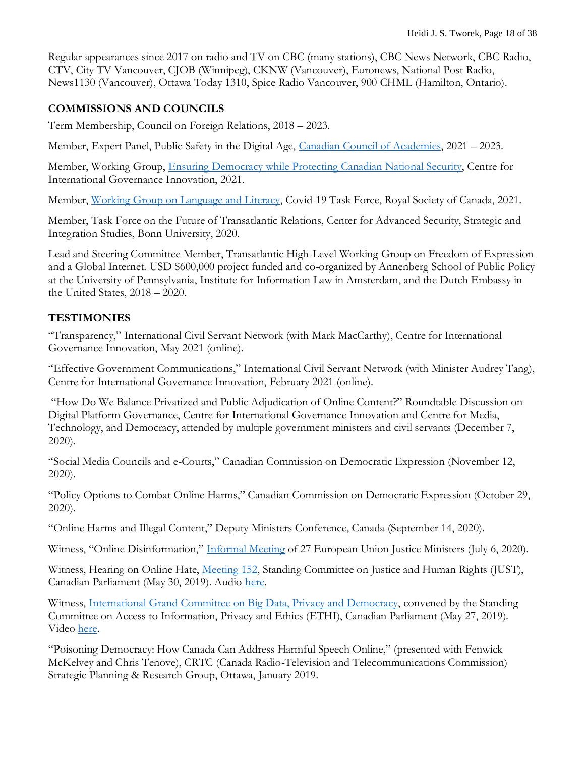Regular appearances since 2017 on radio and TV on CBC (many stations), CBC News Network, CBC Radio, CTV, City TV Vancouver, CJOB (Winnipeg), CKNW (Vancouver), Euronews, National Post Radio, News1130 (Vancouver), Ottawa Today 1310, Spice Radio Vancouver, 900 CHML (Hamilton, Ontario).

### **COMMISSIONS AND COUNCILS**

Term Membership, Council on Foreign Relations, 2018 – 2023.

Member, Expert Panel, Public Safety in the Digital Age, [Canadian Council of Academies,](https://cca-reports.ca/reports/public-safety-in-the-digital-age/) 2021 – 2023.

Member, Working Group, [Ensuring Democracy while Protecting Canadian National Security,](https://www.cigionline.org/publications/ensuring-democracy-while-protecting-canadian-national-security/) Centre for International Governance Innovation, 2021.

Member, [Working Group on Language and Literacy,](https://rsc-src.ca/en/themes/language-and-literacy) Covid-19 Task Force, Royal Society of Canada, 2021.

Member, Task Force on the Future of Transatlantic Relations, Center for Advanced Security, Strategic and Integration Studies, Bonn University, 2020.

Lead and Steering Committee Member, Transatlantic High-Level Working Group on Freedom of Expression and a Global Internet. USD \$600,000 project funded and co-organized by Annenberg School of Public Policy at the University of Pennsylvania, Institute for Information Law in Amsterdam, and the Dutch Embassy in the United States, 2018 – 2020.

### **TESTIMONIES**

"Transparency," International Civil Servant Network (with Mark MacCarthy), Centre for International Governance Innovation, May 2021 (online).

"Effective Government Communications," International Civil Servant Network (with Minister Audrey Tang), Centre for International Governance Innovation, February 2021 (online).

"How Do We Balance Privatized and Public Adjudication of Online Content?" Roundtable Discussion on Digital Platform Governance, Centre for International Governance Innovation and Centre for Media, Technology, and Democracy, attended by multiple government ministers and civil servants (December 7, 2020).

"Social Media Councils and e-Courts," Canadian Commission on Democratic Expression (November 12, 2020).

"Policy Options to Combat Online Harms," Canadian Commission on Democratic Expression (October 29, 2020).

"Online Harms and Illegal Content," Deputy Ministers Conference, Canada (September 14, 2020).

Witness, "Online Disinformation," [Informal Meeting](https://www.eu2020.de/eu2020-en/veranstaltungen/-/2355162) of 27 European Union Justice Ministers (July 6, 2020).

Witness, Hearing on Online Hate, [Meeting 152,](https://www.ourcommons.ca/DocumentViewer/en/42-1/JUST/meeting-153/notice) Standing Committee on Justice and Human Rights (JUST), Canadian Parliament (May 30, 2019). Audio [here.](http://parlvu.parl.gc.ca/xrender/en/PowerBrowser/PowerBrowserV2/20190530/-1/31688?useragent=Mozilla/5.0%20(iPad;%20CPU%20OS%2012_2%20like%20Mac%20OS%20X)%20AppleWebKit/605.1.15%20(KHTML,%20like%20Gecko)%20Version/12.1%20Mobile/15E148%20Safari/604.1)

Witness, [International Grand Committee on Big Data, Privacy and Democracy,](https://www.ourcommons.ca/DocumentViewer/en/42-1/ETHI/meeting-151/notice) convened by the Standing Committee on Access to Information, Privacy and Ethics (ETHI), Canadian Parliament (May 27, 2019). Video [here.](https://www.pscp.tv/HoCCommittees/1LyGBAbRLjzKN?t=50m46s)

"Poisoning Democracy: How Canada Can Address Harmful Speech Online," (presented with Fenwick McKelvey and Chris Tenove), CRTC (Canada Radio-Television and Telecommunications Commission) Strategic Planning & Research Group, Ottawa, January 2019.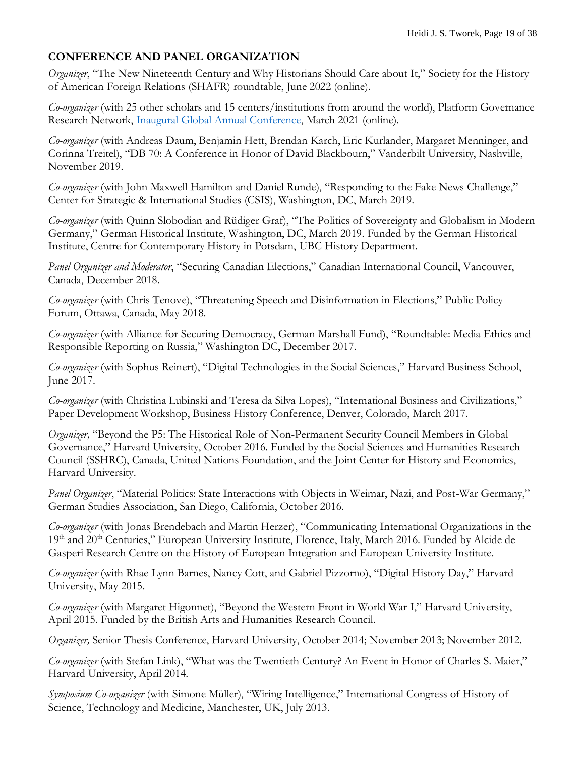### **CONFERENCE AND PANEL ORGANIZATION**

*Organizer*, "The New Nineteenth Century and Why Historians Should Care about It," Society for the History of American Foreign Relations (SHAFR) roundtable, June 2022 (online).

*Co-organizer* (with 25 other scholars and 15 centers/institutions from around the world), Platform Governance Research Network, [Inaugural Global Annual Conference,](https://www.platgov.net/program.pdf) March 2021 (online).

*Co-organizer* (with Andreas Daum, Benjamin Hett, Brendan Karch, Eric Kurlander, Margaret Menninger, and Corinna Treitel), "DB 70: A Conference in Honor of David Blackbourn," Vanderbilt University, Nashville, November 2019.

*Co-organizer* (with John Maxwell Hamilton and Daniel Runde), "Responding to the Fake News Challenge," Center for Strategic & International Studies (CSIS), Washington, DC, March 2019.

*Co-organizer* (with Quinn Slobodian and Rüdiger Graf), "The Politics of Sovereignty and Globalism in Modern Germany," German Historical Institute, Washington, DC, March 2019. Funded by the German Historical Institute, Centre for Contemporary History in Potsdam, UBC History Department.

*Panel Organizer and Moderator*, "Securing Canadian Elections," Canadian International Council, Vancouver, Canada, December 2018.

*Co-organizer* (with Chris Tenove), "Threatening Speech and Disinformation in Elections," Public Policy Forum, Ottawa, Canada, May 2018.

*Co-organizer* (with Alliance for Securing Democracy, German Marshall Fund), "Roundtable: Media Ethics and Responsible Reporting on Russia," Washington DC, December 2017.

*Co-organizer* (with Sophus Reinert), "Digital Technologies in the Social Sciences," Harvard Business School, June 2017.

*Co-organizer* (with Christina Lubinski and Teresa da Silva Lopes), "International Business and Civilizations," Paper Development Workshop, Business History Conference, Denver, Colorado, March 2017.

*Organizer,* "Beyond the P5: The Historical Role of Non-Permanent Security Council Members in Global Governance," Harvard University, October 2016. Funded by the Social Sciences and Humanities Research Council (SSHRC), Canada, United Nations Foundation, and the Joint Center for History and Economics, Harvard University.

*Panel Organizer*, "Material Politics: State Interactions with Objects in Weimar, Nazi, and Post-War Germany," German Studies Association, San Diego, California, October 2016.

*Co-organizer* (with Jonas Brendebach and Martin Herzer), "Communicating International Organizations in the 19<sup>th</sup> and 20<sup>th</sup> Centuries," European University Institute, Florence, Italy, March 2016. Funded by Alcide de Gasperi Research Centre on the History of European Integration and European University Institute.

*Co-organizer* (with Rhae Lynn Barnes, Nancy Cott, and Gabriel Pizzorno), "Digital History Day," Harvard University, May 2015.

*Co-organizer* (with Margaret Higonnet), "Beyond the Western Front in World War I," Harvard University, April 2015. Funded by the British Arts and Humanities Research Council.

*Organizer,* Senior Thesis Conference, Harvard University, October 2014; November 2013; November 2012.

*Co-organizer* (with Stefan Link), "What was the Twentieth Century? An Event in Honor of Charles S. Maier," Harvard University, April 2014.

*Symposium Co-organizer* (with Simone Müller), "Wiring Intelligence," International Congress of History of Science, Technology and Medicine, Manchester, UK, July 2013.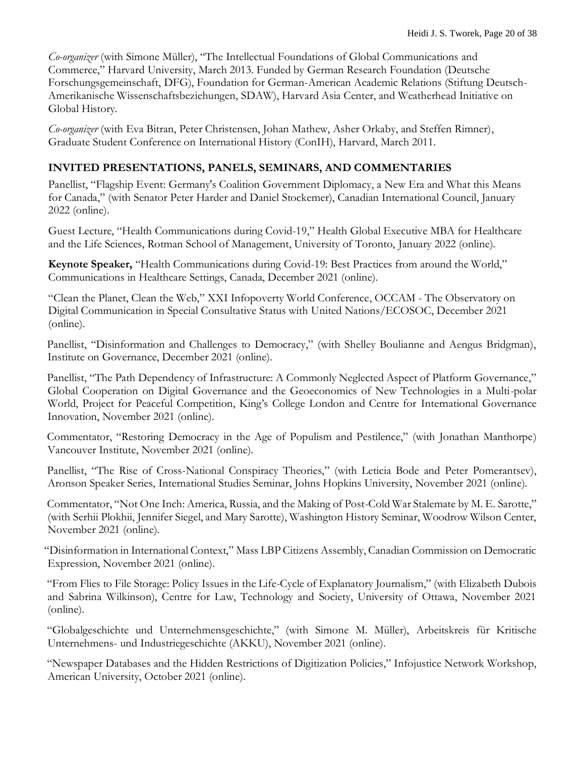*Co-organizer* (with Simone Müller), "The Intellectual Foundations of Global Communications and Commerce," Harvard University, March 2013. Funded by German Research Foundation (Deutsche Forschungsgemeinschaft, DFG), Foundation for German-American Academic Relations (Stiftung Deutsch-Amerikanische Wissenschaftsbeziehungen, SDAW), Harvard Asia Center, and Weatherhead Initiative on Global History.

*Co-organizer* (with Eva Bitran, Peter Christensen, Johan Mathew, Asher Orkaby, and Steffen Rimner), Graduate Student Conference on International History (ConIH), Harvard, March 2011.

## **INVITED PRESENTATIONS, PANELS, SEMINARS, AND COMMENTARIES**

Panellist, "Flagship Event: Germany's Coalition Government Diplomacy, a New Era and What this Means for Canada," (with Senator Peter Harder and Daniel Stockemer), Canadian International Council, January 2022 (online).

Guest Lecture, "Health Communications during Covid-19," Health Global Executive MBA for Healthcare and the Life Sciences, Rotman School of Management, University of Toronto, January 2022 (online).

**Keynote Speaker,** "Health Communications during Covid-19: Best Practices from around the World," Communications in Healthcare Settings, Canada, December 2021 (online).

"Clean the Planet, Clean the Web," XXI Infopoverty World Conference, OCCAM - The Observatory on Digital Communication in Special Consultative Status with United Nations/ECOSOC, December 2021 (online).

 Panellist, "Disinformation and Challenges to Democracy," (with Shelley Boulianne and Aengus Bridgman), Institute on Governance, December 2021 (online).

 Panellist, "The Path Dependency of Infrastructure: A Commonly Neglected Aspect of Platform Governance," Global Cooperation on Digital Governance and the Geoeconomics of New Technologies in a Multi-polar World, Project for Peaceful Competition, King's College London and Centre for International Governance Innovation, November 2021 (online).

 Commentator, "Restoring Democracy in the Age of Populism and Pestilence," (with Jonathan Manthorpe) Vancouver Institute, November 2021 (online).

Panellist, "The Rise of Cross-National Conspiracy Theories," (with Leticia Bode and Peter Pomerantsev), Aronson Speaker Series, International Studies Seminar, Johns Hopkins University, November 2021 (online).

Commentator, "Not One Inch: America, Russia, and the Making of Post-Cold War Stalemate by M. E. Sarotte," (with Serhii Plokhii, Jennifer Siegel, and Mary Sarotte), Washington History Seminar, Woodrow Wilson Center, November 2021 (online).

"Disinformation in International Context," Mass LBP Citizens Assembly, Canadian Commission on Democratic Expression, November 2021 (online).

"From Flies to File Storage: Policy Issues in the Life-Cycle of Explanatory Journalism," (with Elizabeth Dubois and Sabrina Wilkinson), Centre for Law, Technology and Society, University of Ottawa, November 2021 (online).

"Globalgeschichte und Unternehmensgeschichte," (with Simone M. Müller), Arbeitskreis für Kritische Unternehmens- und Industriegeschichte (AKKU), November 2021 (online).

"Newspaper Databases and the Hidden Restrictions of Digitization Policies," Infojustice Network Workshop, American University, October 2021 (online).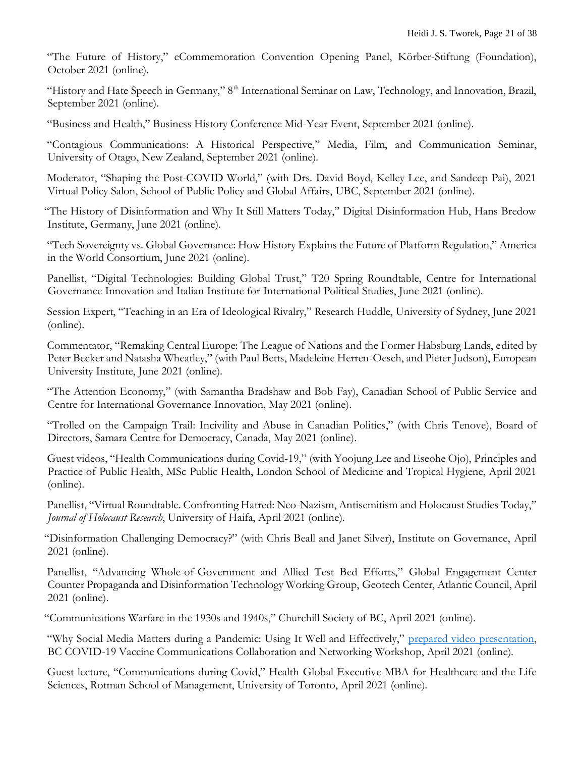"The Future of History," eCommemoration Convention Opening Panel, Körber-Stiftung (Foundation), October 2021 (online).

"History and Hate Speech in Germany," 8<sup>th</sup> International Seminar on Law, Technology, and Innovation, Brazil, September 2021 (online).

"Business and Health," Business History Conference Mid-Year Event, September 2021 (online).

"Contagious Communications: A Historical Perspective," Media, Film, and Communication Seminar, University of Otago, New Zealand, September 2021 (online).

 Moderator, "Shaping the Post-COVID World," (with Drs. David Boyd, Kelley Lee, and Sandeep Pai), 2021 Virtual Policy Salon, School of Public Policy and Global Affairs, UBC, September 2021 (online).

"The History of Disinformation and Why It Still Matters Today," Digital Disinformation Hub, Hans Bredow Institute, Germany, June 2021 (online).

 "Tech Sovereignty vs. Global Governance: How History Explains the Future of Platform Regulation," America in the World Consortium, June 2021 (online).

 Panellist, "Digital Technologies: Building Global Trust," T20 Spring Roundtable, Centre for International Governance Innovation and Italian Institute for International Political Studies, June 2021 (online).

 Session Expert, "Teaching in an Era of Ideological Rivalry," Research Huddle, University of Sydney, June 2021 (online).

 Commentator, "Remaking Central Europe: The League of Nations and the Former Habsburg Lands, edited by Peter Becker and Natasha Wheatley," (with Paul Betts, Madeleine Herren-Oesch, and Pieter Judson), European University Institute, June 2021 (online).

 "The Attention Economy," (with Samantha Bradshaw and Bob Fay), Canadian School of Public Service and Centre for International Governance Innovation, May 2021 (online).

 "Trolled on the Campaign Trail: Incivility and Abuse in Canadian Politics," (with Chris Tenove), Board of Directors, Samara Centre for Democracy, Canada, May 2021 (online).

Guest videos, "Health Communications during Covid-19," (with Yoojung Lee and Eseohe Ojo), Principles and Practice of Public Health, MSc Public Health, London School of Medicine and Tropical Hygiene, April 2021 (online).

 Panellist, "Virtual Roundtable. Confronting Hatred: Neo-Nazism, Antisemitism and Holocaust Studies Today," *Journal of Holocaust Research*, University of Haifa, April 2021 (online).

"Disinformation Challenging Democracy?" (with Chris Beall and Janet Silver), Institute on Governance, April 2021 (online).

 Panellist, "Advancing Whole-of-Government and Allied Test Bed Efforts," Global Engagement Center Counter Propaganda and Disinformation Technology Working Group, Geotech Center, Atlantic Council, April 2021 (online).

"Communications Warfare in the 1930s and 1940s," Churchill Society of BC, April 2021 (online).

 "Why Social Media Matters during a Pandemic: Using It Well and Effectively," [prepared video presentation,](http://www.youtube.com/watch?v=oXAya7D1O8M) BC COVID-19 Vaccine Communications Collaboration and Networking Workshop, April 2021 (online).

 Guest lecture, "Communications during Covid," Health Global Executive MBA for Healthcare and the Life Sciences, Rotman School of Management, University of Toronto, April 2021 (online).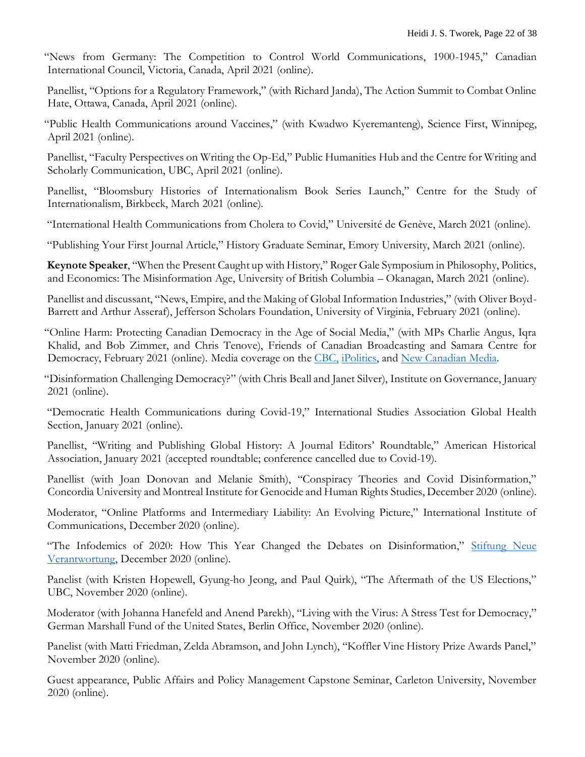"News from Germany: The Competition to Control World Communications, 1900-1945," Canadian International Council, Victoria, Canada, April 2021 (online).

 Panellist, "Options for a Regulatory Framework," (with Richard Janda), The Action Summit to Combat Online Hate, Ottawa, Canada, April 2021 (online).

"Public Health Communications around Vaccines," (with Kwadwo Kyeremanteng), Science First, Winnipeg, April 2021 (online).

 Panellist, "Faculty Perspectives on Writing the Op-Ed," Public Humanities Hub and the Centre for Writing and Scholarly Communication, UBC, April 2021 (online).

 Panellist, "Bloomsbury Histories of Internationalism Book Series Launch," Centre for the Study of Internationalism, Birkbeck, March 2021 (online).

"International Health Communications from Cholera to Covid," Université de Genève, March 2021 (online).

"Publishing Your First Journal Article," History Graduate Seminar, Emory University, March 2021 (online).

 **Keynote Speaker**, "When the Present Caught up with History," Roger Gale Symposium in Philosophy, Politics, and Economics: The Misinformation Age, University of British Columbia – Okanagan, March 2021 (online).

 Panellist and discussant, "News, Empire, and the Making of Global Information Industries," (with Oliver Boyd-Barrett and Arthur Asseraf), Jefferson Scholars Foundation, University of Virginia, February 2021 (online).

"Online Harm: Protecting Canadian Democracy in the Age of Social Media," (with MPs Charlie Angus, Iqra Khalid, and Bob Zimmer, and Chris Tenove), Friends of Canadian Broadcasting and Samara Centre for Democracy, February 2021 (online). Media coverage on the [CBC,](https://www.cbc.ca/news/politics/social-media-online-attacks-1.5911094) [iPolitics,](https://ipolitics.ca/2021/02/11/mps-say-hate-speech-is-constraining-public-discourse/) and [New Canadian Media.](https://newcanadianmedia.ca/online-harm-and-its-impact-on-democracy-politics/)

"Disinformation Challenging Democracy?" (with Chris Beall and Janet Silver), Institute on Governance, January 2021 (online).

 "Democratic Health Communications during Covid-19," International Studies Association Global Health Section, January 2021 (online).

Panellist, "Writing and Publishing Global History: A Journal Editors' Roundtable," American Historical Association, January 2021 (accepted roundtable; conference cancelled due to Covid-19).

 Panellist (with Joan Donovan and Melanie Smith), "Conspiracy Theories and Covid Disinformation," Concordia University and Montreal Institute for Genocide and Human Rights Studies, December 2020 (online).

 Moderator, "Online Platforms and Intermediary Liability: An Evolving Picture," International Institute of Communications, December 2020 (online).

"The Infodemics of 2020: How This Year Changed the Debates on Disinformation," Stiftung Neue [Verantwortung,](https://www.stiftung-nv.de/de/veranstaltung/die-infodemien-von-2020-wie-dieses-jahr-die-debatte-zu-desinformation-veraendern-wird) December 2020 (online).

 Panelist (with Kristen Hopewell, Gyung-ho Jeong, and Paul Quirk), "The Aftermath of the US Elections," UBC, November 2020 (online).

 Moderator (with Johanna Hanefeld and Anend Parekh), "Living with the Virus: A Stress Test for Democracy," German Marshall Fund of the United States, Berlin Office, November 2020 (online).

 Panelist (with Matti Friedman, Zelda Abramson, and John Lynch), "Koffler Vine History Prize Awards Panel," November 2020 (online).

Guest appearance, Public Affairs and Policy Management Capstone Seminar, Carleton University, November 2020 (online).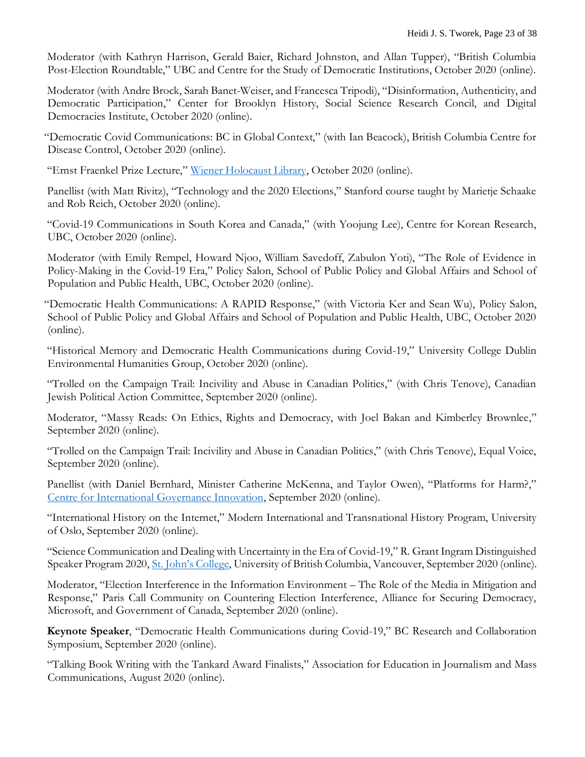Moderator (with Kathryn Harrison, Gerald Baier, Richard Johnston, and Allan Tupper), "British Columbia Post-Election Roundtable," UBC and Centre for the Study of Democratic Institutions, October 2020 (online).

 Moderator (with Andre Brock, Sarah Banet-Weiser, and Francesca Tripodi), "Disinformation, Authenticity, and Democratic Participation," Center for Brooklyn History, Social Science Research Concil, and Digital Democracies Institute, October 2020 (online).

"Democratic Covid Communications: BC in Global Context," (with Ian Beacock), British Columbia Centre for Disease Control, October 2020 (online).

"Ernst Fraenkel Prize Lecture," [Wiener Holocaust Library,](https://youtu.be/wpcl5qLNuXc) October 2020 (online).

 Panellist (with Matt Rivitz), "Technology and the 2020 Elections," Stanford course taught by Marietje Schaake and Rob Reich, October 2020 (online).

 "Covid-19 Communications in South Korea and Canada," (with Yoojung Lee), Centre for Korean Research, UBC, October 2020 (online).

 Moderator (with Emily Rempel, Howard Njoo, William Savedoff, Zabulon Yoti), "The Role of Evidence in Policy-Making in the Covid-19 Era," Policy Salon, School of Public Policy and Global Affairs and School of Population and Public Health, UBC, October 2020 (online).

"Democratic Health Communications: A RAPID Response," (with Victoria Ker and Sean Wu), Policy Salon, School of Public Policy and Global Affairs and School of Population and Public Health, UBC, October 2020 (online).

 "Historical Memory and Democratic Health Communications during Covid-19," University College Dublin Environmental Humanities Group, October 2020 (online).

 "Trolled on the Campaign Trail: Incivility and Abuse in Canadian Politics," (with Chris Tenove), Canadian Jewish Political Action Committee, September 2020 (online).

 Moderator, "Massy Reads: On Ethics, Rights and Democracy, with Joel Bakan and Kimberley Brownlee," September 2020 (online).

 "Trolled on the Campaign Trail: Incivility and Abuse in Canadian Politics," (with Chris Tenove), Equal Voice, September 2020 (online).

 Panellist (with Daniel Bernhard, Minister Catherine McKenna, and Taylor Owen), "Platforms for Harm?," [Centre for International Governance Innovation,](https://youtu.be/8DeHEgcOFQc) September 2020 (online).

 "International History on the Internet," Modern International and Transnational History Program, University of Oslo, September 2020 (online).

 "Science Communication and Dealing with Uncertainty in the Era of Covid-19," R. Grant Ingram Distinguished Speaker Program 2020, [St. John's College](https://youtu.be/TmAyZv055j0), University of British Columbia, Vancouver, September 2020 (online).

 Moderator, "Election Interference in the Information Environment – The Role of the Media in Mitigation and Response," Paris Call Community on Countering Election Interference, Alliance for Securing Democracy, Microsoft, and Government of Canada, September 2020 (online).

 **Keynote Speaker**, "Democratic Health Communications during Covid-19," BC Research and Collaboration Symposium, September 2020 (online).

 "Talking Book Writing with the Tankard Award Finalists," Association for Education in Journalism and Mass Communications, August 2020 (online).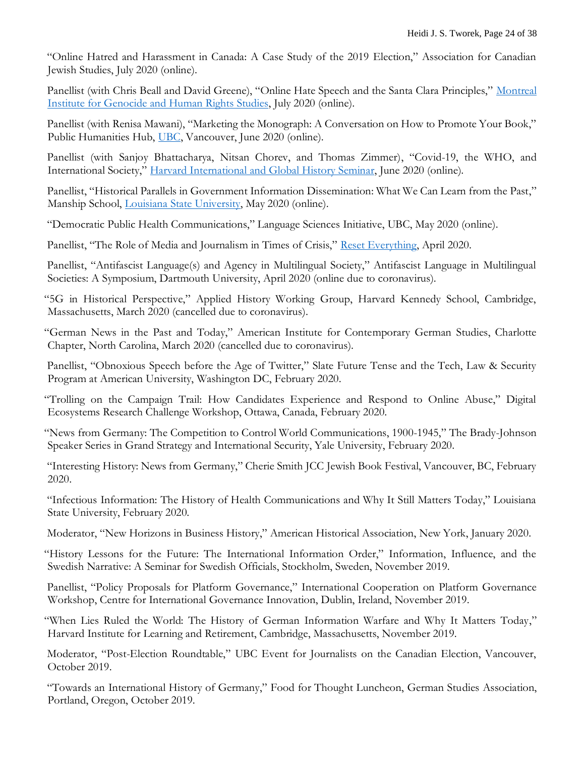"Online Hatred and Harassment in Canada: A Case Study of the 2019 Election," Association for Canadian Jewish Studies, July 2020 (online).

 Panellist (with Chris Beall and David Greene), "Online Hate Speech and the Santa Clara Principles," [Montreal](https://www.youtube.com/watch?v=yvh9L342rKI)  [Institute for Genocide and Human Rights Studies,](https://www.youtube.com/watch?v=yvh9L342rKI) July 2020 (online).

 Panellist (with Renisa Mawani), "Marketing the Monograph: A Conversation on How to Promote Your Book," Public Humanities Hub, [UBC,](https://publichumanities.ubc.ca/events/event/marketing-the-monograph-a-conversation-on-how-to-promote-your-book/) Vancouver, June 2020 (online).

 Panellist (with Sanjoy Bhattacharya, Nitsan Chorev, and Thomas Zimmer), "Covid-19, the WHO, and International Society," [Harvard International and Global History Seminar,](https://vimeo.com/430502976) June 2020 (online).

 Panellist, "Historical Parallels in Government Information Dissemination: What We Can Learn from the Past," Manship School, [Louisiana State University,](https://youtu.be/q8_qO2LgP7U) May 2020 (online).

"Democratic Public Health Communications," Language Sciences Initiative, UBC, May 2020 (online).

Panellist, "The Role of Media and Journalism in Times of Crisis," [Reset Everything,](https://www.youtube.com/watch?v=tjA9ns_a7L4) April 2020.

Panellist, "Antifascist Language(s) and Agency in Multilingual Society," Antifascist Language in Multilingual Societies: A Symposium, Dartmouth University, April 2020 (online due to coronavirus).

"5G in Historical Perspective," Applied History Working Group, Harvard Kennedy School, Cambridge, Massachusetts, March 2020 (cancelled due to coronavirus).

"German News in the Past and Today," American Institute for Contemporary German Studies, Charlotte Chapter, North Carolina, March 2020 (cancelled due to coronavirus).

 Panellist, "Obnoxious Speech before the Age of Twitter," Slate Future Tense and the Tech, Law & Security Program at American University, Washington DC, February 2020.

"Trolling on the Campaign Trail: How Candidates Experience and Respond to Online Abuse," Digital Ecosystems Research Challenge Workshop, Ottawa, Canada, February 2020.

"News from Germany: The Competition to Control World Communications, 1900-1945," The Brady-Johnson Speaker Series in Grand Strategy and International Security, Yale University, February 2020.

 "Interesting History: News from Germany," Cherie Smith JCC Jewish Book Festival, Vancouver, BC, February 2020.

 "Infectious Information: The History of Health Communications and Why It Still Matters Today," Louisiana State University, February 2020.

Moderator, "New Horizons in Business History," American Historical Association, New York, January 2020.

"History Lessons for the Future: The International Information Order," Information, Influence, and the Swedish Narrative: A Seminar for Swedish Officials, Stockholm, Sweden, November 2019.

 Panellist, "Policy Proposals for Platform Governance," International Cooperation on Platform Governance Workshop, Centre for International Governance Innovation, Dublin, Ireland, November 2019.

"When Lies Ruled the World: The History of German Information Warfare and Why It Matters Today," Harvard Institute for Learning and Retirement, Cambridge, Massachusetts, November 2019.

 Moderator, "Post-Election Roundtable," UBC Event for Journalists on the Canadian Election, Vancouver, October 2019.

 "Towards an International History of Germany," Food for Thought Luncheon, German Studies Association, Portland, Oregon, October 2019.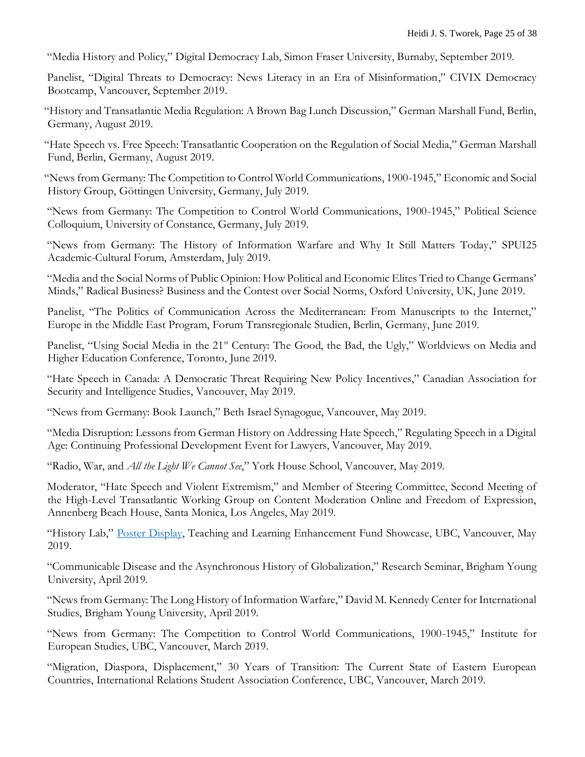"Media History and Policy," Digital Democracy Lab, Simon Fraser University, Burnaby, September 2019.

 Panelist, "Digital Threats to Democracy: News Literacy in an Era of Misinformation," CIVIX Democracy Bootcamp, Vancouver, September 2019.

"History and Transatlantic Media Regulation: A Brown Bag Lunch Discussion," German Marshall Fund, Berlin, Germany, August 2019.

"Hate Speech vs. Free Speech: Transatlantic Cooperation on the Regulation of Social Media," German Marshall Fund, Berlin, Germany, August 2019.

"News from Germany: The Competition to Control World Communications, 1900-1945," Economic and Social History Group, Göttingen University, Germany, July 2019.

 "News from Germany: The Competition to Control World Communications, 1900-1945," Political Science Colloquium, University of Constance, Germany, July 2019.

 "News from Germany: The History of Information Warfare and Why It Still Matters Today," SPUI25 Academic-Cultural Forum, Amsterdam, July 2019.

 "Media and the Social Norms of Public Opinion: How Political and Economic Elites Tried to Change Germans' Minds," Radical Business? Business and the Contest over Social Norms, Oxford University, UK, June 2019.

 Panelist, "The Politics of Communication Across the Mediterranean: From Manuscripts to the Internet," Europe in the Middle East Program, Forum Transregionale Studien, Berlin, Germany, June 2019.

Panelist, "Using Social Media in the 21<sup>st</sup> Century: The Good, the Bad, the Ugly," Worldviews on Media and Higher Education Conference, Toronto, June 2019.

 "Hate Speech in Canada: A Democratic Threat Requiring New Policy Incentives," Canadian Association for Security and Intelligence Studies, Vancouver, May 2019.

"News from Germany: Book Launch," Beth Israel Synagogue, Vancouver, May 2019.

"Media Disruption: Lessons from German History on Addressing Hate Speech," Regulating Speech in a Digital Age: Continuing Professional Development Event for Lawyers, Vancouver, May 2019.

"Radio, War, and *All the Light We Cannot See*," York House School, Vancouver, May 2019.

 Moderator, "Hate Speech and Violent Extremism," and Member of Steering Committee, Second Meeting of the High-Level Transatlantic Working Group on Content Moderation Online and Freedom of Expression, Annenberg Beach House, Santa Monica, Los Angeles, May 2019.

"History Lab," [Poster Display,](https://bit.ly/2vC2dIg) Teaching and Learning Enhancement Fund Showcase, UBC, Vancouver, May 2019.

 "Communicable Disease and the Asynchronous History of Globalization," Research Seminar, Brigham Young University, April 2019.

 "News from Germany: The Long History of Information Warfare," David M. Kennedy Center for International Studies, Brigham Young University, April 2019.

 "News from Germany: The Competition to Control World Communications, 1900-1945," Institute for European Studies, UBC, Vancouver, March 2019.

 "Migration, Diaspora, Displacement," 30 Years of Transition: The Current State of Eastern European Countries, International Relations Student Association Conference, UBC, Vancouver, March 2019.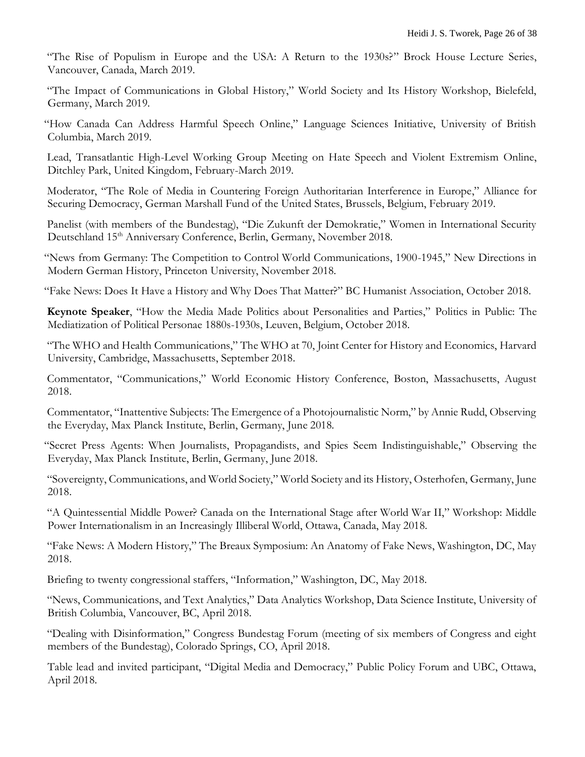"The Rise of Populism in Europe and the USA: A Return to the 1930s?" Brock House Lecture Series, Vancouver, Canada, March 2019.

"The Impact of Communications in Global History," World Society and Its History Workshop, Bielefeld, Germany, March 2019.

"How Canada Can Address Harmful Speech Online," Language Sciences Initiative, University of British Columbia, March 2019.

 Lead, Transatlantic High-Level Working Group Meeting on Hate Speech and Violent Extremism Online, Ditchley Park, United Kingdom, February-March 2019.

 Moderator, "The Role of Media in Countering Foreign Authoritarian Interference in Europe," Alliance for Securing Democracy, German Marshall Fund of the United States, Brussels, Belgium, February 2019.

Panelist (with members of the Bundestag), "Die Zukunft der Demokratie," Women in International Security Deutschland 15<sup>th</sup> Anniversary Conference, Berlin, Germany, November 2018.

"News from Germany: The Competition to Control World Communications, 1900-1945," New Directions in Modern German History, Princeton University, November 2018.

"Fake News: Does It Have a History and Why Does That Matter?" BC Humanist Association, October 2018.

 **Keynote Speaker**, "How the Media Made Politics about Personalities and Parties," Politics in Public: The Mediatization of Political Personae 1880s-1930s, Leuven, Belgium, October 2018.

 "The WHO and Health Communications," The WHO at 70, Joint Center for History and Economics, Harvard University, Cambridge, Massachusetts, September 2018.

 Commentator, "Communications," World Economic History Conference, Boston, Massachusetts, August 2018.

 Commentator, "Inattentive Subjects: The Emergence of a Photojournalistic Norm," by Annie Rudd, Observing the Everyday, Max Planck Institute, Berlin, Germany, June 2018.

"Secret Press Agents: When Journalists, Propagandists, and Spies Seem Indistinguishable," Observing the Everyday, Max Planck Institute, Berlin, Germany, June 2018.

 "Sovereignty, Communications, and World Society," World Society and its History, Osterhofen, Germany, June 2018.

 "A Quintessential Middle Power? Canada on the International Stage after World War II," Workshop: Middle Power Internationalism in an Increasingly Illiberal World, Ottawa, Canada, May 2018.

 "Fake News: A Modern History," The Breaux Symposium: An Anatomy of Fake News, Washington, DC, May 2018.

Briefing to twenty congressional staffers, "Information," Washington, DC, May 2018.

 "News, Communications, and Text Analytics," Data Analytics Workshop, Data Science Institute, University of British Columbia, Vancouver, BC, April 2018.

 "Dealing with Disinformation," Congress Bundestag Forum (meeting of six members of Congress and eight members of the Bundestag), Colorado Springs, CO, April 2018.

Table lead and invited participant, "Digital Media and Democracy," Public Policy Forum and UBC, Ottawa, April 2018.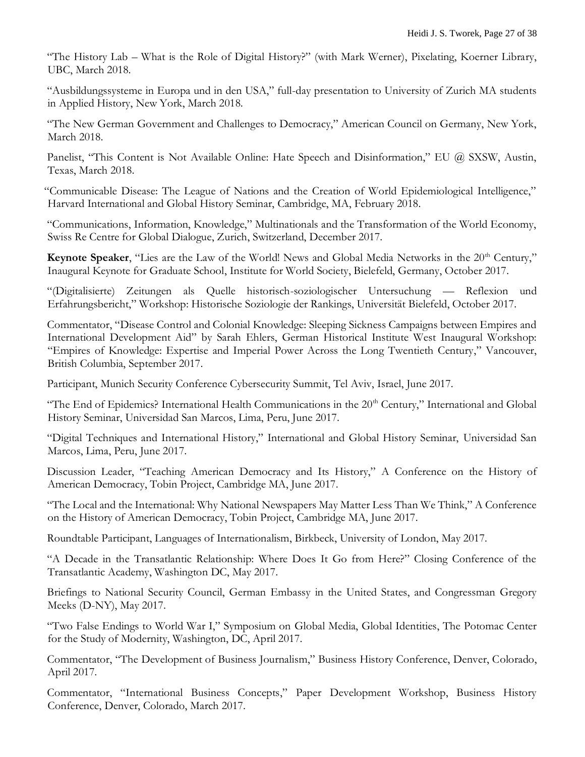"The History Lab – What is the Role of Digital History?" (with Mark Werner), Pixelating, Koerner Library, UBC, March 2018.

 "Ausbildungssysteme in Europa und in den USA," full-day presentation to University of Zurich MA students in Applied History, New York, March 2018.

 "The New German Government and Challenges to Democracy," American Council on Germany, New York, March 2018.

Panelist, "This Content is Not Available Online: Hate Speech and Disinformation," EU @ SXSW, Austin, Texas, March 2018.

"Communicable Disease: The League of Nations and the Creation of World Epidemiological Intelligence," Harvard International and Global History Seminar, Cambridge, MA, February 2018.

"Communications, Information, Knowledge," Multinationals and the Transformation of the World Economy, Swiss Re Centre for Global Dialogue, Zurich, Switzerland, December 2017.

**Keynote Speaker,** "Lies are the Law of the World! News and Global Media Networks in the 20<sup>th</sup> Century," Inaugural Keynote for Graduate School, Institute for World Society, Bielefeld, Germany, October 2017.

"(Digitalisierte) Zeitungen als Quelle historisch-soziologischer Untersuchung — Reflexion und Erfahrungsbericht," Workshop: Historische Soziologie der Rankings, Universität Bielefeld, October 2017.

 Commentator, "Disease Control and Colonial Knowledge: Sleeping Sickness Campaigns between Empires and International Development Aid" by Sarah Ehlers, German Historical Institute West Inaugural Workshop: "Empires of Knowledge: Expertise and Imperial Power Across the Long Twentieth Century," Vancouver, British Columbia, September 2017.

Participant, Munich Security Conference Cybersecurity Summit, Tel Aviv, Israel, June 2017.

"The End of Epidemics? International Health Communications in the  $20<sup>th</sup>$  Century," International and Global History Seminar, Universidad San Marcos, Lima, Peru, June 2017.

 "Digital Techniques and International History," International and Global History Seminar, Universidad San Marcos, Lima, Peru, June 2017.

 Discussion Leader, "Teaching American Democracy and Its History," A Conference on the History of American Democracy, Tobin Project, Cambridge MA, June 2017.

 "The Local and the International: Why National Newspapers May Matter Less Than We Think," A Conference on the History of American Democracy, Tobin Project, Cambridge MA, June 2017.

Roundtable Participant, Languages of Internationalism, Birkbeck, University of London, May 2017.

 "A Decade in the Transatlantic Relationship: Where Does It Go from Here?" Closing Conference of the Transatlantic Academy, Washington DC, May 2017.

 Briefings to National Security Council, German Embassy in the United States, and Congressman Gregory Meeks (D-NY), May 2017.

 "Two False Endings to World War I," Symposium on Global Media, Global Identities, The Potomac Center for the Study of Modernity, Washington, DC, April 2017.

 Commentator, "The Development of Business Journalism," Business History Conference, Denver, Colorado, April 2017.

 Commentator, "International Business Concepts," Paper Development Workshop, Business History Conference, Denver, Colorado, March 2017.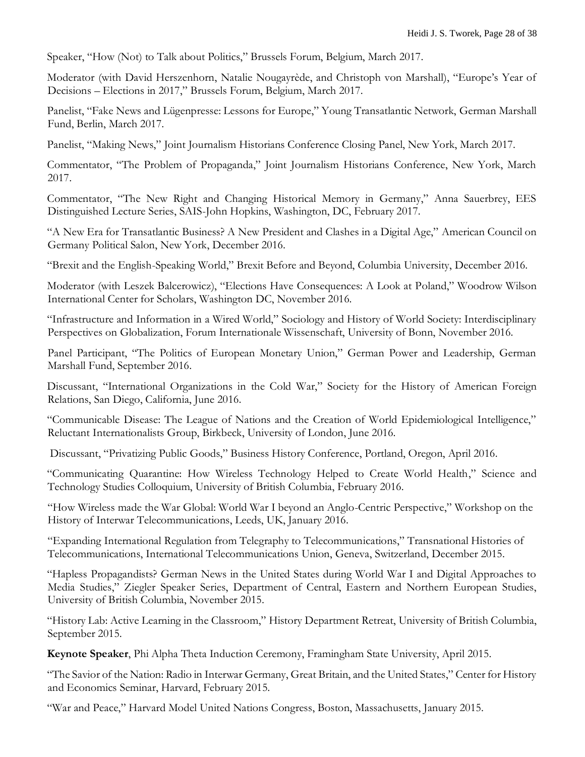Speaker, "How (Not) to Talk about Politics," Brussels Forum, Belgium, March 2017.

 Moderator (with David Herszenhorn, Natalie Nougayrède, and Christoph von Marshall), "Europe's Year of Decisions – Elections in 2017," Brussels Forum, Belgium, March 2017.

 Panelist, "Fake News and Lügenpresse: Lessons for Europe," Young Transatlantic Network, German Marshall Fund, Berlin, March 2017.

Panelist, "Making News," Joint Journalism Historians Conference Closing Panel, New York, March 2017.

 Commentator, "The Problem of Propaganda," Joint Journalism Historians Conference, New York, March 2017.

 Commentator, "The New Right and Changing Historical Memory in Germany," Anna Sauerbrey, EES Distinguished Lecture Series, SAIS-John Hopkins, Washington, DC, February 2017.

 "A New Era for Transatlantic Business? A New President and Clashes in a Digital Age," American Council on Germany Political Salon, New York, December 2016.

"Brexit and the English-Speaking World," Brexit Before and Beyond, Columbia University, December 2016.

 Moderator (with Leszek Balcerowicz), "Elections Have Consequences: A Look at Poland," Woodrow Wilson International Center for Scholars, Washington DC, November 2016.

 "Infrastructure and Information in a Wired World," Sociology and History of World Society: Interdisciplinary Perspectives on Globalization, Forum Internationale Wissenschaft, University of Bonn, November 2016.

Panel Participant, "The Politics of European Monetary Union," German Power and Leadership, German Marshall Fund, September 2016.

 Discussant, "International Organizations in the Cold War," Society for the History of American Foreign Relations, San Diego, California, June 2016.

"Communicable Disease: The League of Nations and the Creation of World Epidemiological Intelligence," Reluctant Internationalists Group, Birkbeck, University of London, June 2016.

Discussant, "Privatizing Public Goods," Business History Conference, Portland, Oregon, April 2016.

 "Communicating Quarantine: How Wireless Technology Helped to Create World Health," Science and Technology Studies Colloquium, University of British Columbia, February 2016.

"How Wireless made the War Global: World War I beyond an Anglo-Centric Perspective," Workshop on the History of Interwar Telecommunications, Leeds, UK, January 2016.

"Expanding International Regulation from Telegraphy to Telecommunications," Transnational Histories of Telecommunications, International Telecommunications Union, Geneva, Switzerland, December 2015.

 "Hapless Propagandists? German News in the United States during World War I and Digital Approaches to Media Studies," Ziegler Speaker Series, Department of Central, Eastern and Northern European Studies, University of British Columbia, November 2015.

 "History Lab: Active Learning in the Classroom," History Department Retreat, University of British Columbia, September 2015.

**Keynote Speaker**, Phi Alpha Theta Induction Ceremony, Framingham State University, April 2015.

 "The Savior of the Nation: Radio in Interwar Germany, Great Britain, and the United States," Center for History and Economics Seminar, Harvard, February 2015.

"War and Peace," Harvard Model United Nations Congress, Boston, Massachusetts, January 2015.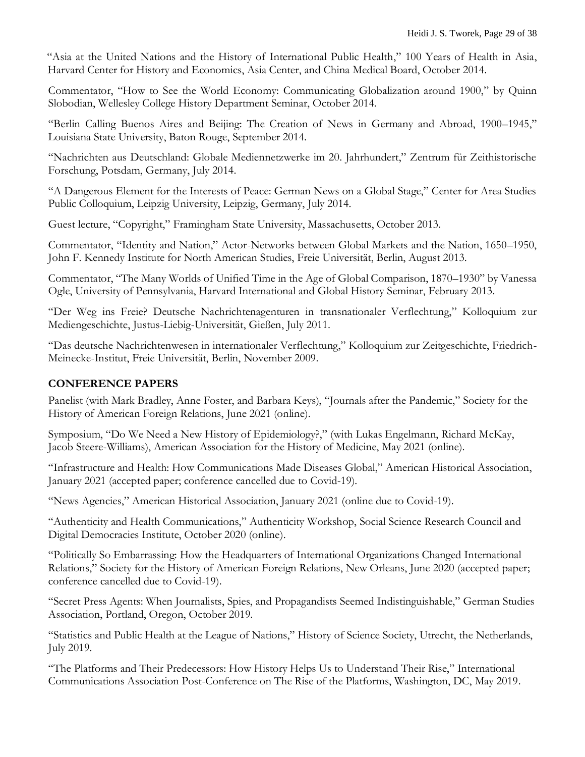"Asia at the United Nations and the History of International Public Health," 100 Years of Health in Asia, Harvard Center for History and Economics, Asia Center, and China Medical Board, October 2014.

Commentator, "How to See the World Economy: Communicating Globalization around 1900," by Quinn Slobodian, Wellesley College History Department Seminar, October 2014.

"Berlin Calling Buenos Aires and Beijing: The Creation of News in Germany and Abroad, 1900–1945," Louisiana State University, Baton Rouge, September 2014.

"Nachrichten aus Deutschland: Globale Mediennetzwerke im 20. Jahrhundert," Zentrum für Zeithistorische Forschung, Potsdam, Germany, July 2014.

"A Dangerous Element for the Interests of Peace: German News on a Global Stage," Center for Area Studies Public Colloquium, Leipzig University, Leipzig, Germany, July 2014.

Guest lecture, "Copyright," Framingham State University, Massachusetts, October 2013.

Commentator, "Identity and Nation," Actor-Networks between Global Markets and the Nation, 1650–1950, John F. Kennedy Institute for North American Studies, Freie Universität, Berlin, August 2013.

Commentator, "The Many Worlds of Unified Time in the Age of Global Comparison, 1870–1930" by Vanessa Ogle, University of Pennsylvania, Harvard International and Global History Seminar, February 2013.

"Der Weg ins Freie? Deutsche Nachrichtenagenturen in transnationaler Verflechtung," Kolloquium zur Mediengeschichte, Justus-Liebig-Universität, Gießen, July 2011.

"Das deutsche Nachrichtenwesen in internationaler Verflechtung," Kolloquium zur Zeitgeschichte, Friedrich-Meinecke-Institut, Freie Universität, Berlin, November 2009.

### **CONFERENCE PAPERS**

Panelist (with Mark Bradley, Anne Foster, and Barbara Keys), "Journals after the Pandemic," Society for the History of American Foreign Relations, June 2021 (online).

Symposium, "Do We Need a New History of Epidemiology?," (with Lukas Engelmann, Richard McKay, Jacob Steere-Williams), American Association for the History of Medicine, May 2021 (online).

"Infrastructure and Health: How Communications Made Diseases Global," American Historical Association, January 2021 (accepted paper; conference cancelled due to Covid-19).

"News Agencies," American Historical Association, January 2021 (online due to Covid-19).

"Authenticity and Health Communications," Authenticity Workshop, Social Science Research Council and Digital Democracies Institute, October 2020 (online).

"Politically So Embarrassing: How the Headquarters of International Organizations Changed International Relations," Society for the History of American Foreign Relations, New Orleans, June 2020 (accepted paper; conference cancelled due to Covid-19).

"Secret Press Agents: When Journalists, Spies, and Propagandists Seemed Indistinguishable," German Studies Association, Portland, Oregon, October 2019.

"Statistics and Public Health at the League of Nations," History of Science Society, Utrecht, the Netherlands, July 2019.

"The Platforms and Their Predecessors: How History Helps Us to Understand Their Rise," International Communications Association Post-Conference on The Rise of the Platforms, Washington, DC, May 2019.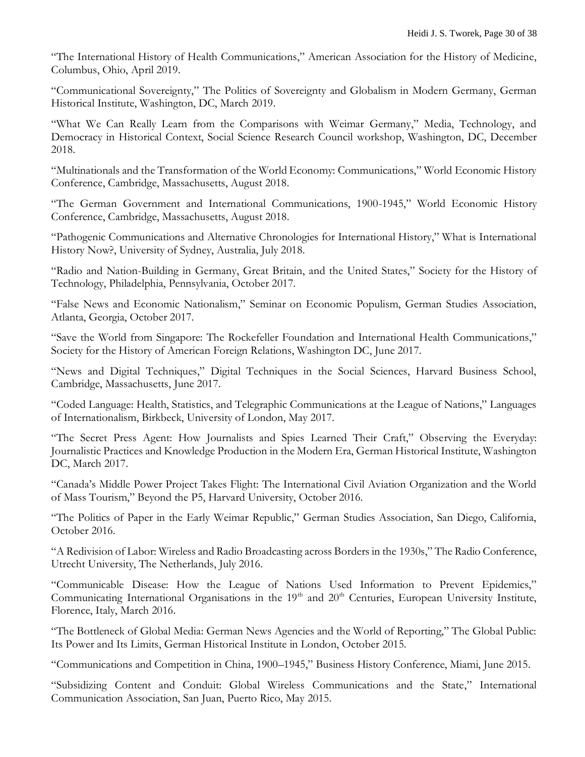"The International History of Health Communications," American Association for the History of Medicine, Columbus, Ohio, April 2019.

"Communicational Sovereignty," The Politics of Sovereignty and Globalism in Modern Germany, German Historical Institute, Washington, DC, March 2019.

"What We Can Really Learn from the Comparisons with Weimar Germany," Media, Technology, and Democracy in Historical Context, Social Science Research Council workshop, Washington, DC, December 2018.

"Multinationals and the Transformation of the World Economy: Communications," World Economic History Conference, Cambridge, Massachusetts, August 2018.

"The German Government and International Communications, 1900-1945," World Economic History Conference, Cambridge, Massachusetts, August 2018.

"Pathogenic Communications and Alternative Chronologies for International History," What is International History Now?, University of Sydney, Australia, July 2018.

"Radio and Nation-Building in Germany, Great Britain, and the United States," Society for the History of Technology, Philadelphia, Pennsylvania, October 2017.

"False News and Economic Nationalism," Seminar on Economic Populism, German Studies Association, Atlanta, Georgia, October 2017.

"Save the World from Singapore: The Rockefeller Foundation and International Health Communications," Society for the History of American Foreign Relations, Washington DC, June 2017.

"News and Digital Techniques," Digital Techniques in the Social Sciences, Harvard Business School, Cambridge, Massachusetts, June 2017.

"Coded Language: Health, Statistics, and Telegraphic Communications at the League of Nations," Languages of Internationalism, Birkbeck, University of London, May 2017.

"The Secret Press Agent: How Journalists and Spies Learned Their Craft," Observing the Everyday: Journalistic Practices and Knowledge Production in the Modern Era, German Historical Institute, Washington DC, March 2017.

"Canada's Middle Power Project Takes Flight: The International Civil Aviation Organization and the World of Mass Tourism," Beyond the P5, Harvard University, October 2016.

"The Politics of Paper in the Early Weimar Republic," German Studies Association, San Diego, California, October 2016.

"A Redivision of Labor: Wireless and Radio Broadcasting across Borders in the 1930s," The Radio Conference, Utrecht University, The Netherlands, July 2016.

"Communicable Disease: How the League of Nations Used Information to Prevent Epidemics," Communicating International Organisations in the 19<sup>th</sup> and 20<sup>th</sup> Centuries, European University Institute, Florence, Italy, March 2016.

"The Bottleneck of Global Media: German News Agencies and the World of Reporting," The Global Public: Its Power and Its Limits, German Historical Institute in London, October 2015.

"Communications and Competition in China, 1900–1945," Business History Conference, Miami, June 2015.

"Subsidizing Content and Conduit: Global Wireless Communications and the State," International Communication Association, San Juan, Puerto Rico, May 2015.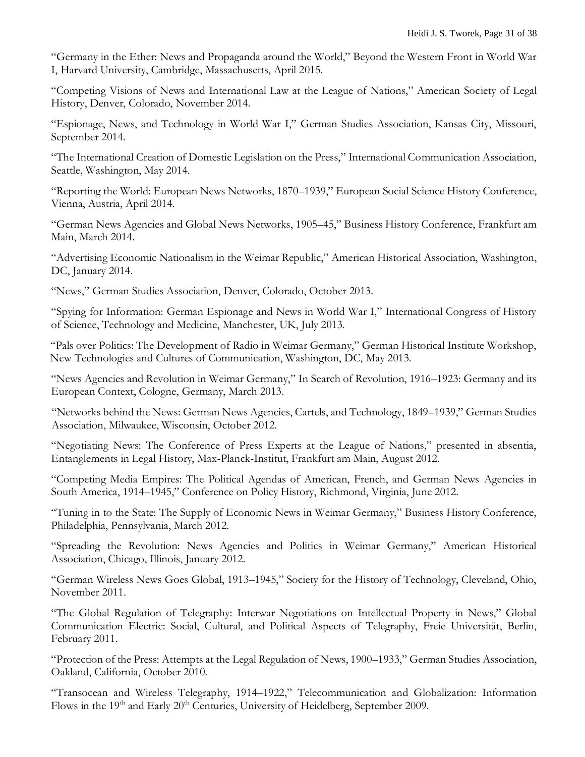"Germany in the Ether: News and Propaganda around the World," Beyond the Western Front in World War I, Harvard University, Cambridge, Massachusetts, April 2015.

"Competing Visions of News and International Law at the League of Nations," American Society of Legal History, Denver, Colorado, November 2014.

"Espionage, News, and Technology in World War I," German Studies Association, Kansas City, Missouri, September 2014.

"The International Creation of Domestic Legislation on the Press," International Communication Association, Seattle, Washington, May 2014.

"Reporting the World: European News Networks, 1870–1939," European Social Science History Conference, Vienna, Austria, April 2014.

"German News Agencies and Global News Networks, 1905–45," Business History Conference, Frankfurt am Main, March 2014.

"Advertising Economic Nationalism in the Weimar Republic," American Historical Association, Washington, DC, January 2014.

"News," German Studies Association, Denver, Colorado, October 2013.

"Spying for Information: German Espionage and News in World War I," International Congress of History of Science, Technology and Medicine, Manchester, UK, July 2013.

"Pals over Politics: The Development of Radio in Weimar Germany," German Historical Institute Workshop, New Technologies and Cultures of Communication, Washington, DC, May 2013.

"News Agencies and Revolution in Weimar Germany," In Search of Revolution, 1916–1923: Germany and its European Context, Cologne, Germany, March 2013.

"Networks behind the News: German News Agencies, Cartels, and Technology, 1849–1939," German Studies Association, Milwaukee, Wisconsin, October 2012.

"Negotiating News: The Conference of Press Experts at the League of Nations," presented in absentia, Entanglements in Legal History, Max-Planck-Institut, Frankfurt am Main, August 2012.

"Competing Media Empires: The Political Agendas of American, French, and German News Agencies in South America, 1914–1945," Conference on Policy History, Richmond, Virginia, June 2012.

"Tuning in to the State: The Supply of Economic News in Weimar Germany," Business History Conference, Philadelphia, Pennsylvania, March 2012.

"Spreading the Revolution: News Agencies and Politics in Weimar Germany," American Historical Association, Chicago, Illinois, January 2012.

"German Wireless News Goes Global, 1913–1945," Society for the History of Technology, Cleveland, Ohio, November 2011.

"The Global Regulation of Telegraphy: Interwar Negotiations on Intellectual Property in News," Global Communication Electric: Social, Cultural, and Political Aspects of Telegraphy, Freie Universität, Berlin, February 2011.

"Protection of the Press: Attempts at the Legal Regulation of News, 1900–1933," German Studies Association, Oakland, California, October 2010.

"Transocean and Wireless Telegraphy, 1914–1922," Telecommunication and Globalization: Information Flows in the 19<sup>th</sup> and Early 20<sup>th</sup> Centuries, University of Heidelberg, September 2009.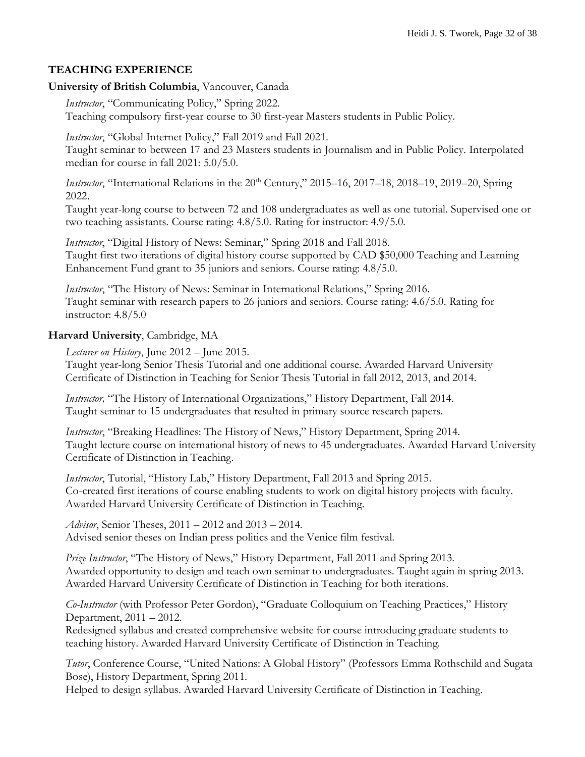### **TEACHING EXPERIENCE**

#### **University of British Columbia**, Vancouver, Canada

*Instructor*, "Communicating Policy," Spring 2022.

Teaching compulsory first-year course to 30 first-year Masters students in Public Policy.

*Instructor*, "Global Internet Policy," Fall 2019 and Fall 2021.

Taught seminar to between 17 and 23 Masters students in Journalism and in Public Policy. Interpolated median for course in fall 2021: 5.0/5.0.

*Instructor*, "International Relations in the 20<sup>th</sup> Century," 2015–16, 2017–18, 2018–19, 2019–20, Spring 2022.

Taught year-long course to between 72 and 108 undergraduates as well as one tutorial. Supervised one or two teaching assistants. Course rating: 4.8/5.0. Rating for instructor: 4.9/5.0.

*Instructor*, "Digital History of News: Seminar," Spring 2018 and Fall 2018. Taught first two iterations of digital history course supported by CAD \$50,000 Teaching and Learning Enhancement Fund grant to 35 juniors and seniors. Course rating: 4.8/5.0.

*Instructor*, "The History of News: Seminar in International Relations," Spring 2016. Taught seminar with research papers to 26 juniors and seniors. Course rating: 4.6/5.0. Rating for instructor: 4.8/5.0

### **Harvard University**, Cambridge, MA

*Lecturer on History*, June 2012 – June 2015.

Taught year-long Senior Thesis Tutorial and one additional course. Awarded Harvard University Certificate of Distinction in Teaching for Senior Thesis Tutorial in fall 2012, 2013, and 2014.

*Instructor,* "The History of International Organizations," History Department, Fall 2014. Taught seminar to 15 undergraduates that resulted in primary source research papers.

*Instructor*, "Breaking Headlines: The History of News," History Department, Spring 2014. Taught lecture course on international history of news to 45 undergraduates. Awarded Harvard University Certificate of Distinction in Teaching.

*Instructor*, Tutorial, "History Lab," History Department, Fall 2013 and Spring 2015. Co-created first iterations of course enabling students to work on digital history projects with faculty. Awarded Harvard University Certificate of Distinction in Teaching.

*Advisor*, Senior Theses, 2011 – 2012 and 2013 – 2014. Advised senior theses on Indian press politics and the Venice film festival.

*Prize Instructor*, "The History of News," History Department, Fall 2011 and Spring 2013. Awarded opportunity to design and teach own seminar to undergraduates. Taught again in spring 2013. Awarded Harvard University Certificate of Distinction in Teaching for both iterations.

*Co-Instructor* (with Professor Peter Gordon), "Graduate Colloquium on Teaching Practices," History Department, 2011 – 2012.

Redesigned syllabus and created comprehensive website for course introducing graduate students to teaching history. Awarded Harvard University Certificate of Distinction in Teaching.

*Tutor*, Conference Course, "United Nations: A Global History" (Professors Emma Rothschild and Sugata Bose), History Department, Spring 2011.

Helped to design syllabus. Awarded Harvard University Certificate of Distinction in Teaching.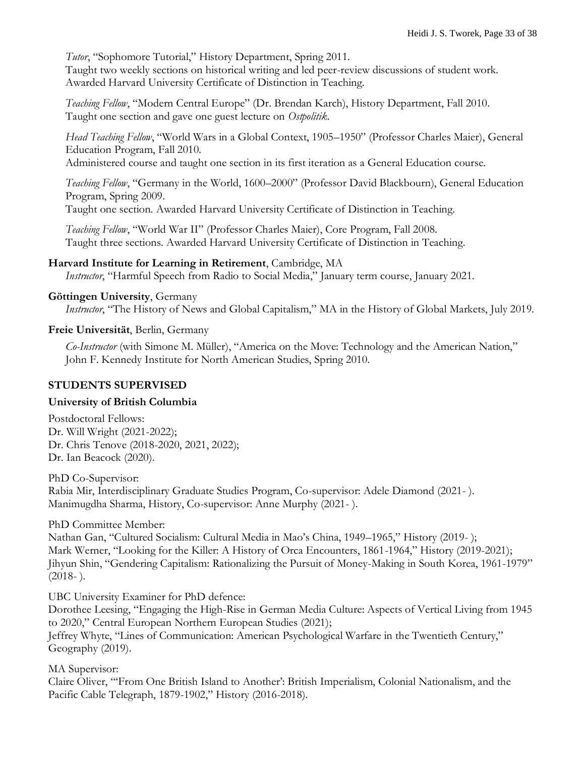*Tutor*, "Sophomore Tutorial," History Department, Spring 2011.

Taught two weekly sections on historical writing and led peer-review discussions of student work. Awarded Harvard University Certificate of Distinction in Teaching.

*Teaching Fellow*, "Modern Central Europe" (Dr. Brendan Karch), History Department, Fall 2010. Taught one section and gave one guest lecture on *Ostpolitik*.

*Head Teaching Fellow*, "World Wars in a Global Context, 1905–1950" (Professor Charles Maier), General Education Program, Fall 2010.

Administered course and taught one section in its first iteration as a General Education course.

*Teaching Fellow*, "Germany in the World, 1600–2000" (Professor David Blackbourn), General Education Program, Spring 2009.

Taught one section. Awarded Harvard University Certificate of Distinction in Teaching.

*Teaching Fellow*, "World War II" (Professor Charles Maier), Core Program, Fall 2008. Taught three sections. Awarded Harvard University Certificate of Distinction in Teaching.

#### **Harvard Institute for Learning in Retirement**, Cambridge, MA

*Instructor*, "Harmful Speech from Radio to Social Media," January term course, January 2021.

### **Göttingen University**, Germany

*Instructor*, "The History of News and Global Capitalism," MA in the History of Global Markets, July 2019.

#### **Freie Universität**, Berlin, Germany

*Co-Instructor* (with Simone M. Müller), "America on the Move: Technology and the American Nation," John F. Kennedy Institute for North American Studies, Spring 2010.

#### **STUDENTS SUPERVISED**

#### **University of British Columbia**

Postdoctoral Fellows: Dr. Will Wright (2021-2022); Dr. Chris Tenove (2018-2020, 2021, 2022); Dr. Ian Beacock (2020).

PhD Co-Supervisor: Rabia Mir, Interdisciplinary Graduate Studies Program, Co-supervisor: Adele Diamond (2021- ). Manimugdha Sharma, History, Co-supervisor: Anne Murphy (2021- ).

#### PhD Committee Member:

Nathan Gan, "Cultured Socialism: Cultural Media in Mao's China, 1949–1965," History (2019- ); Mark Werner, "Looking for the Killer: A History of Orca Encounters, 1861-1964," History (2019-2021); Jihyun Shin, "Gendering Capitalism: Rationalizing the Pursuit of Money-Making in South Korea, 1961-1979"  $(2018-).$ 

UBC University Examiner for PhD defence:

Dorothee Leesing, "Engaging the High-Rise in German Media Culture: Aspects of Vertical Living from 1945 to 2020," Central European Northern European Studies (2021);

Jeffrey Whyte, "Lines of Communication: American Psychological Warfare in the Twentieth Century," Geography (2019).

MA Supervisor:

Claire Oliver, "'From One British Island to Another': British Imperialism, Colonial Nationalism, and the Pacific Cable Telegraph, 1879-1902," History (2016-2018).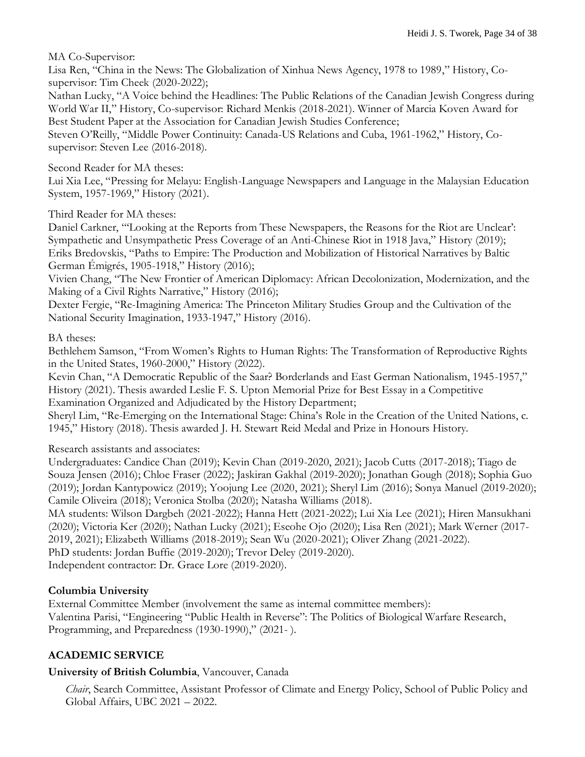MA Co-Supervisor:

Lisa Ren, "China in the News: The Globalization of Xinhua News Agency, 1978 to 1989," History, Cosupervisor: Tim Cheek (2020-2022);

Nathan Lucky, "A Voice behind the Headlines: The Public Relations of the Canadian Jewish Congress during World War II," History, Co-supervisor: Richard Menkis (2018-2021). Winner of Marcia Koven Award for Best Student Paper at the Association for Canadian Jewish Studies Conference;

Steven O'Reilly, "Middle Power Continuity: Canada-US Relations and Cuba, 1961-1962," History, Cosupervisor: Steven Lee (2016-2018).

Second Reader for MA theses:

Lui Xia Lee, "Pressing for Melayu: English-Language Newspapers and Language in the Malaysian Education System, 1957-1969," History (2021).

Third Reader for MA theses:

Daniel Carkner, "'Looking at the Reports from These Newspapers, the Reasons for the Riot are Unclear': Sympathetic and Unsympathetic Press Coverage of an Anti-Chinese Riot in 1918 Java," History (2019); Eriks Bredovskis, "Paths to Empire: The Production and Mobilization of Historical Narratives by Baltic German Émigrés, 1905-1918," History (2016);

Vivien Chang, "The New Frontier of American Diplomacy: African Decolonization, Modernization, and the Making of a Civil Rights Narrative," History (2016);

Dexter Fergie, "Re-Imagining America: The Princeton Military Studies Group and the Cultivation of the National Security Imagination, 1933-1947," History (2016).

BA theses:

Bethlehem Samson, "From Women's Rights to Human Rights: The Transformation of Reproductive Rights in the United States, 1960-2000," History (2022).

Kevin Chan, "A Democratic Republic of the Saar? Borderlands and East German Nationalism, 1945-1957," History (2021). Thesis awarded Leslie F. S. Upton Memorial Prize for Best Essay in a Competitive Examination Organized and Adjudicated by the History Department;

Sheryl Lim, "Re-Emerging on the International Stage: China's Role in the Creation of the United Nations, c. 1945," History (2018). Thesis awarded J. H. Stewart Reid Medal and Prize in Honours History.

Research assistants and associates:

Undergraduates: Candice Chan (2019); Kevin Chan (2019-2020, 2021); Jacob Cutts (2017-2018); Tiago de Souza Jensen (2016); Chloe Fraser (2022); Jaskiran Gakhal (2019-2020); Jonathan Gough (2018); Sophia Guo (2019); Jordan Kantypowicz (2019); Yoojung Lee (2020, 2021); Sheryl Lim (2016); Sonya Manuel (2019-2020); Camile Oliveira (2018); Veronica Stolba (2020); Natasha Williams (2018).

MA students: Wilson Dargbeh (2021-2022); Hanna Hett (2021-2022); Lui Xia Lee (2021); Hiren Mansukhani (2020); Victoria Ker (2020); Nathan Lucky (2021); Eseohe Ojo (2020); Lisa Ren (2021); Mark Werner (2017- 2019, 2021); Elizabeth Williams (2018-2019); Sean Wu (2020-2021); Oliver Zhang (2021-2022). PhD students: Jordan Buffie (2019-2020); Trevor Deley (2019-2020).

Independent contractor: Dr. Grace Lore (2019-2020).

### **Columbia University**

External Committee Member (involvement the same as internal committee members): Valentina Parisi, "Engineering "Public Health in Reverse": The Politics of Biological Warfare Research, Programming, and Preparedness (1930-1990)," (2021- ).

## **ACADEMIC SERVICE**

### **University of British Columbia**, Vancouver, Canada

*Chair*, Search Committee, Assistant Professor of Climate and Energy Policy, School of Public Policy and Global Affairs, UBC 2021 – 2022.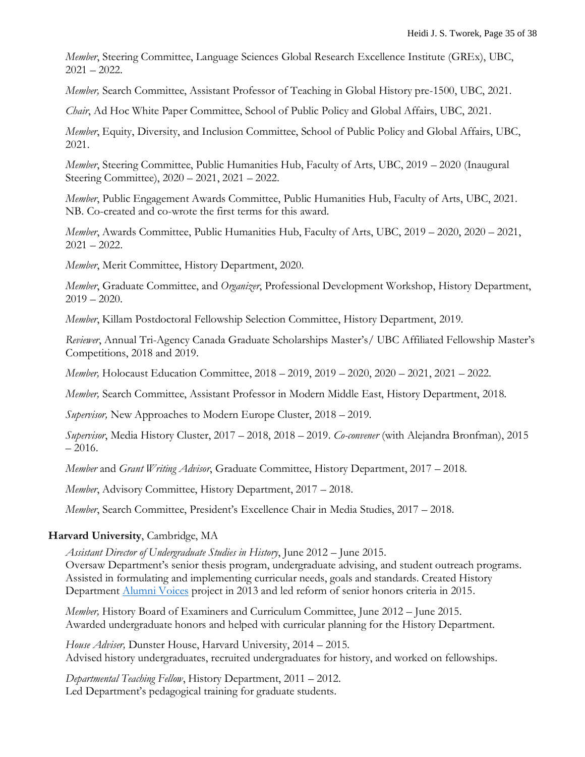*Member*, Steering Committee, Language Sciences Global Research Excellence Institute (GREx), UBC,  $2021 - 2022$ .

*Member,* Search Committee, Assistant Professor of Teaching in Global History pre-1500, UBC, 2021.

*Chair*, Ad Hoc White Paper Committee, School of Public Policy and Global Affairs, UBC, 2021.

*Member*, Equity, Diversity, and Inclusion Committee, School of Public Policy and Global Affairs, UBC, 2021.

*Member*, Steering Committee, Public Humanities Hub, Faculty of Arts, UBC, 2019 – 2020 (Inaugural Steering Committee), 2020 – 2021, 2021 – 2022.

*Member*, Public Engagement Awards Committee, Public Humanities Hub, Faculty of Arts, UBC, 2021. NB. Co-created and co-wrote the first terms for this award.

*Member*, Awards Committee, Public Humanities Hub, Faculty of Arts, UBC, 2019 – 2020, 2020 – 2021,  $2021 - 2022$ .

*Member*, Merit Committee, History Department, 2020.

*Member*, Graduate Committee, and *Organizer*, Professional Development Workshop, History Department,  $2019 - 2020.$ 

*Member*, Killam Postdoctoral Fellowship Selection Committee, History Department, 2019.

*Reviewer*, Annual Tri-Agency Canada Graduate Scholarships Master's/ UBC Affiliated Fellowship Master's Competitions, 2018 and 2019.

*Member,* Holocaust Education Committee, 2018 – 2019, 2019 – 2020, 2020 – 2021, 2021 – 2022.

*Member,* Search Committee, Assistant Professor in Modern Middle East, History Department, 2018.

*Supervisor,* New Approaches to Modern Europe Cluster, 2018 – 2019.

*Supervisor*, Media History Cluster, 2017 – 2018, 2018 – 2019. *Co-convener* (with Alejandra Bronfman), 2015  $-2016.$ 

*Member* and *Grant Writing Advisor*, Graduate Committee, History Department, 2017 – 2018.

*Member*, Advisory Committee, History Department, 2017 – 2018.

*Member*, Search Committee, President's Excellence Chair in Media Studies, 2017 – 2018.

#### **Harvard University**, Cambridge, MA

*Assistant Director of Undergraduate Studies in History*, June 2012 – June 2015. Oversaw Department's senior thesis program, undergraduate advising, and student outreach programs. Assisted in formulating and implementing curricular needs, goals and standards. Created History Department [Alumni Voices](http://history.fas.harvard.edu/alumni-voices) project in 2013 and led reform of senior honors criteria in 2015.

*Member,* History Board of Examiners and Curriculum Committee, June 2012 – June 2015. Awarded undergraduate honors and helped with curricular planning for the History Department.

*House Adviser,* Dunster House, Harvard University, 2014 – 2015. Advised history undergraduates, recruited undergraduates for history, and worked on fellowships.

*Departmental Teaching Fellow*, History Department, 2011 – 2012. Led Department's pedagogical training for graduate students.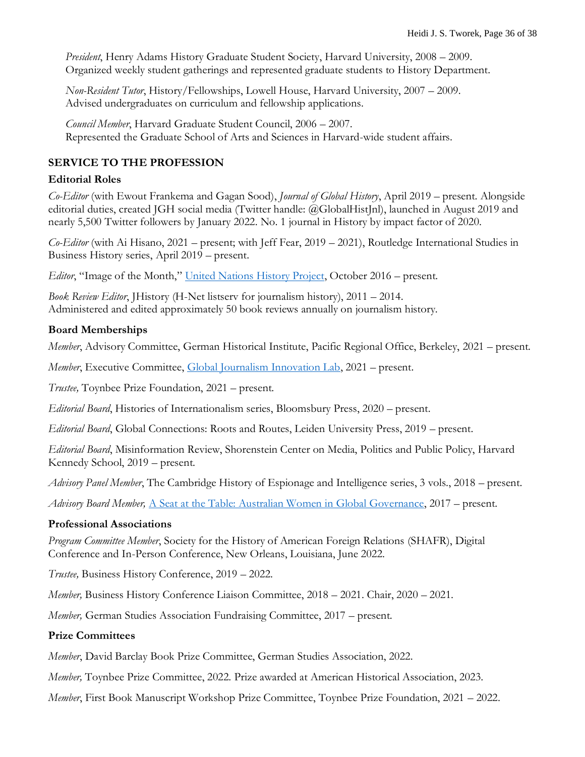*President*, Henry Adams History Graduate Student Society, Harvard University, 2008 – 2009. Organized weekly student gatherings and represented graduate students to History Department.

*Non-Resident Tutor*, History/Fellowships, Lowell House, Harvard University, 2007 – 2009. Advised undergraduates on curriculum and fellowship applications.

*Council Member*, Harvard Graduate Student Council, 2006 – 2007. Represented the Graduate School of Arts and Sciences in Harvard-wide student affairs.

## **SERVICE TO THE PROFESSION**

### **Editorial Roles**

*Co-Editor* (with Ewout Frankema and Gagan Sood), *Journal of Global History*, April 2019 – present. Alongside editorial duties, created JGH social media (Twitter handle: @GlobalHistJnl), launched in August 2019 and nearly 5,500 Twitter followers by January 2022. No. 1 journal in History by impact factor of 2020.

*Co-Editor* (with Ai Hisano, 2021 – present; with Jeff Fear, 2019 – 2021), Routledge International Studies in Business History series, April 2019 – present.

*Editor*, "Image of the Month," [United Nations History Project,](http://www.histecon.magd.cam.ac.uk/unhist-2017/image_of_the_month.html) October 2016 – present.

*Book Review Editor*, JHistory (H-Net listserv for journalism history), 2011 – 2014. Administered and edited approximately 50 book reviews annually on journalism history.

### **Board Memberships**

*Member*, Advisory Committee, German Historical Institute, Pacific Regional Office, Berkeley, 2021 – present.

*Member*, Executive Committee, [Global Journalism Innovation Lab,](https://journalisminnovation.ca/) 2021 – present.

*Trustee,* Toynbee Prize Foundation, 2021 – present.

*Editorial Board*, Histories of Internationalism series, Bloomsbury Press, 2020 – present.

*Editorial Board*, Global Connections: Roots and Routes, Leiden University Press, 2019 – present.

*Editorial Board*, Misinformation Review, Shorenstein Center on Media, Politics and Public Policy, Harvard Kennedy School, 2019 – present.

*Advisory Panel Member*, The Cambridge History of Espionage and Intelligence series, 3 vols., 2018 – present.

*Advisory Board Member,* [A Seat at the Table: Australian Women in Global Governance,](http://www.australianwomeninternationalists.com/) 2017 – present.

#### **Professional Associations**

*Program Committee Member*, Society for the History of American Foreign Relations (SHAFR), Digital Conference and In-Person Conference, New Orleans, Louisiana, June 2022.

*Trustee,* Business History Conference, 2019 – 2022.

*Member,* Business History Conference Liaison Committee, 2018 – 2021. Chair, 2020 – 2021.

*Member,* German Studies Association Fundraising Committee, 2017 – present.

### **Prize Committees**

*Member*, David Barclay Book Prize Committee, German Studies Association, 2022.

*Member,* Toynbee Prize Committee, 2022. Prize awarded at American Historical Association, 2023.

*Member*, First Book Manuscript Workshop Prize Committee, Toynbee Prize Foundation, 2021 – 2022.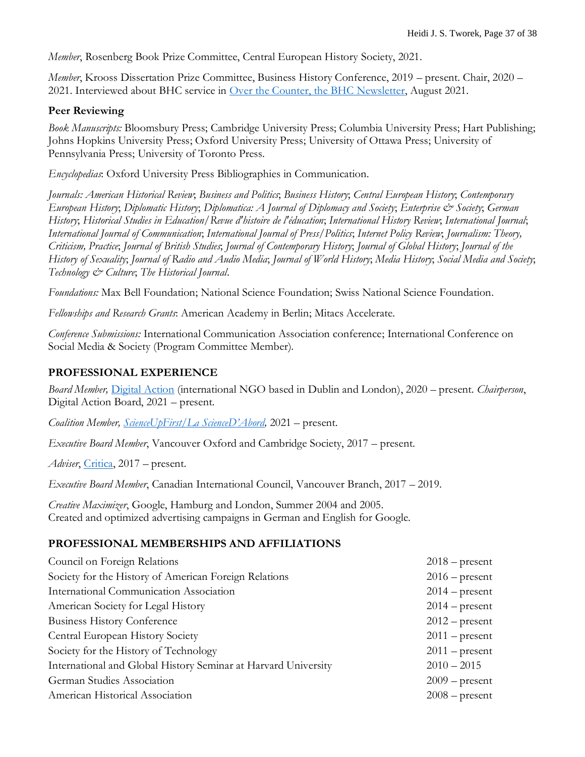*Member*, Rosenberg Book Prize Committee, Central European History Society, 2021.

*Member*, Krooss Dissertation Prize Committee, Business History Conference, 2019 – present. Chair, 2020 – 2021. Interviewed about BHC service in [Over the Counter, the BHC Newsletter,](https://thebhc.org/sites/default/files/Over%20the%20Counter/Over%20the%20Counter%20-%20The%20BHC%20newsletter.%20no.61.pdf) August 2021.

#### **Peer Reviewing**

*Book Manuscripts:* Bloomsbury Press; Cambridge University Press; Columbia University Press; Hart Publishing; Johns Hopkins University Press; Oxford University Press; University of Ottawa Press; University of Pennsylvania Press; University of Toronto Press.

*Encyclopedias*: Oxford University Press Bibliographies in Communication.

*Journals: American Historical Review*; *Business and Politics*; *Business History*; *Central European History*; *Contemporary European History*; *Diplomatic History*; *Diplomatica: A Journal of Diplomacy and Society*; *Enterprise & Society*; *German History*; *Historical Studies in Education/Revue d'histoire de l'éducation*; *International History Review*; *International Journal*; *International Journal of Communication*; *International Journal of Press/Politics*; *Internet Policy Review*; *Journalism: Theory, Criticism, Practice*; *Journal of British Studies*; *Journal of Contemporary History*; *Journal of Global History*; *Journal of the History of Sexuality*; *Journal of Radio and Audio Media*; *Journal of World History*; *Media History*; *Social Media and Society*; *Technology & Culture*; *The Historical Journal*.

*Foundations:* Max Bell Foundation; National Science Foundation; Swiss National Science Foundation.

*Fellowships and Research Grants*: American Academy in Berlin; Mitacs Accelerate.

*Conference Submissions:* International Communication Association conference; International Conference on Social Media & Society (Program Committee Member).

### **PROFESSIONAL EXPERIENCE**

*Board Member,* [Digital Action](https://digitalaction.co/) (international NGO based in Dublin and London), 2020 – present. *Chairperson*, Digital Action Board, 2021 – present.

*Coalition Member, [ScienceUpFirst/La ScienceD'Abord](https://www.scienceupfirst.com/),* 2021 – present.

*Executive Board Member*, Vancouver Oxford and Cambridge Society, 2017 – present.

*Adviser*, [Critica,](http://www.critica.life/) 2017 – present.

*Executive Board Member*, Canadian International Council, Vancouver Branch, 2017 – 2019.

*Creative Maximizer*, Google, Hamburg and London, Summer 2004 and 2005. Created and optimized advertising campaigns in German and English for Google.

#### **PROFESSIONAL MEMBERSHIPS AND AFFILIATIONS**

| Council on Foreign Relations                                   | $2018$ – present |
|----------------------------------------------------------------|------------------|
| Society for the History of American Foreign Relations          | $2016$ – present |
| International Communication Association                        | $2014$ – present |
| American Society for Legal History                             | $2014$ – present |
| <b>Business History Conference</b>                             | $2012$ – present |
| Central European History Society                               | $2011$ – present |
| Society for the History of Technology                          | $2011$ – present |
| International and Global History Seminar at Harvard University | $2010 - 2015$    |
| German Studies Association                                     | $2009$ – present |
| American Historical Association                                | $2008$ – present |
|                                                                |                  |